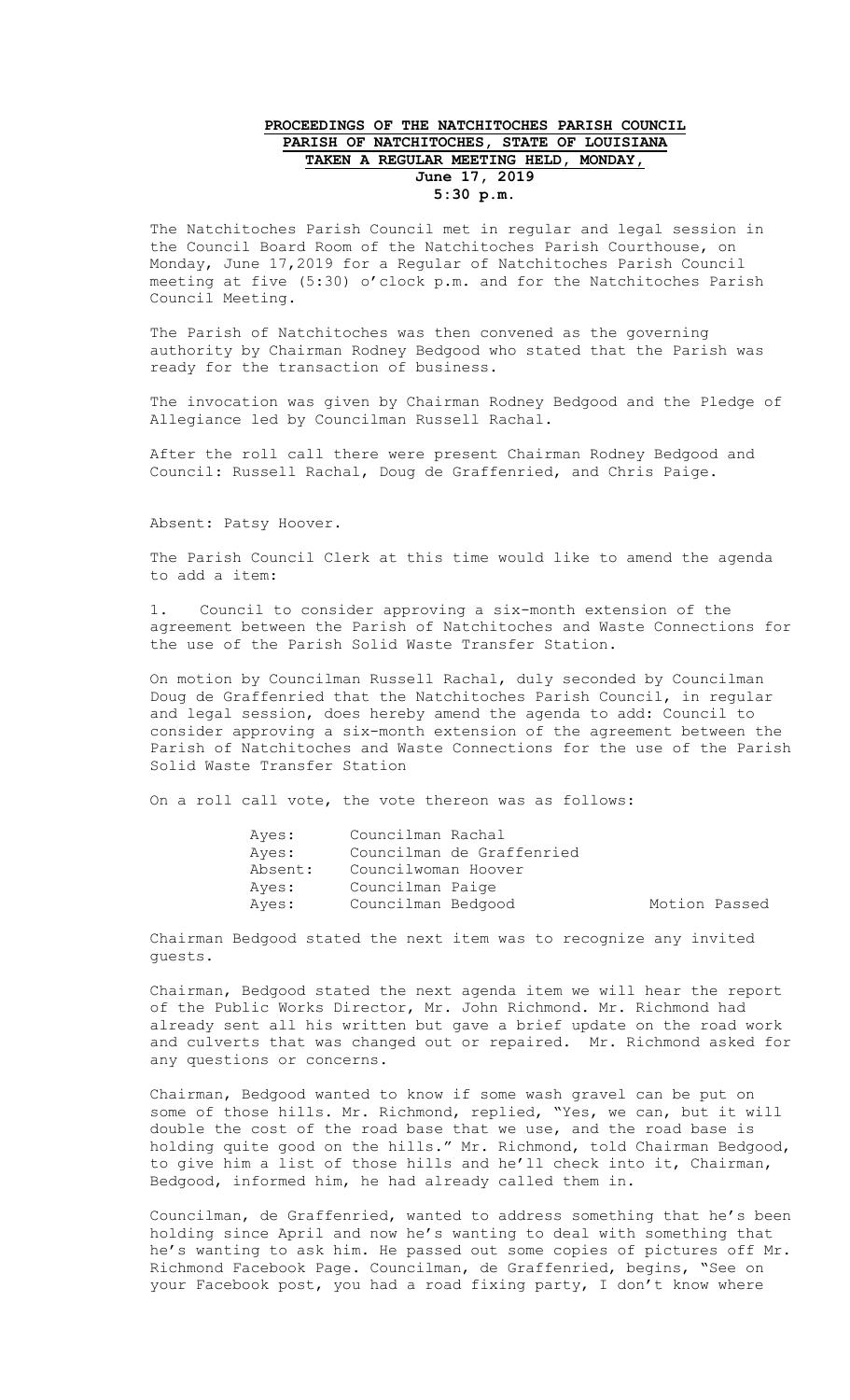## **PROCEEDINGS OF THE NATCHITOCHES PARISH COUNCIL PARISH OF NATCHITOCHES, STATE OF LOUISIANA TAKEN A REGULAR MEETING HELD, MONDAY, June 17, 2019 5:30 p.m.**

The Natchitoches Parish Council met in regular and legal session in the Council Board Room of the Natchitoches Parish Courthouse, on Monday, June 17,2019 for a Regular of Natchitoches Parish Council meeting at five (5:30) o'clock p.m. and for the Natchitoches Parish Council Meeting.

The Parish of Natchitoches was then convened as the governing authority by Chairman Rodney Bedgood who stated that the Parish was ready for the transaction of business.

The invocation was given by Chairman Rodney Bedgood and the Pledge of Allegiance led by Councilman Russell Rachal.

After the roll call there were present Chairman Rodney Bedgood and Council: Russell Rachal, Doug de Graffenried, and Chris Paige.

Absent: Patsy Hoover.

The Parish Council Clerk at this time would like to amend the agenda to add a item:

1. Council to consider approving a six-month extension of the agreement between the Parish of Natchitoches and Waste Connections for the use of the Parish Solid Waste Transfer Station.

On motion by Councilman Russell Rachal, duly seconded by Councilman Doug de Graffenried that the Natchitoches Parish Council, in regular and legal session, does hereby amend the agenda to add: Council to consider approving a six-month extension of the agreement between the Parish of Natchitoches and Waste Connections for the use of the Parish Solid Waste Transfer Station

On a roll call vote, the vote thereon was as follows:

| Ayes:   | Councilman Rachal         |               |  |
|---------|---------------------------|---------------|--|
| Ayes:   | Councilman de Graffenried |               |  |
| Absent: | Councilwoman Hoover       |               |  |
| Ayes:   | Councilman Paige          |               |  |
| Ayes:   | Councilman Bedgood        | Motion Passed |  |

Chairman Bedgood stated the next item was to recognize any invited guests.

Chairman, Bedgood stated the next agenda item we will hear the report of the Public Works Director, Mr. John Richmond. Mr. Richmond had already sent all his written but gave a brief update on the road work and culverts that was changed out or repaired. Mr. Richmond asked for any questions or concerns.

Chairman, Bedgood wanted to know if some wash gravel can be put on some of those hills. Mr. Richmond, replied, "Yes, we can, but it will double the cost of the road base that we use, and the road base is holding quite good on the hills." Mr. Richmond, told Chairman Bedgood, to give him a list of those hills and he'll check into it, Chairman, Bedgood, informed him, he had already called them in.

Councilman, de Graffenried, wanted to address something that he's been holding since April and now he's wanting to deal with something that he's wanting to ask him. He passed out some copies of pictures off Mr. Richmond Facebook Page. Councilman, de Graffenried, begins, "See on your Facebook post, you had a road fixing party, I don't know where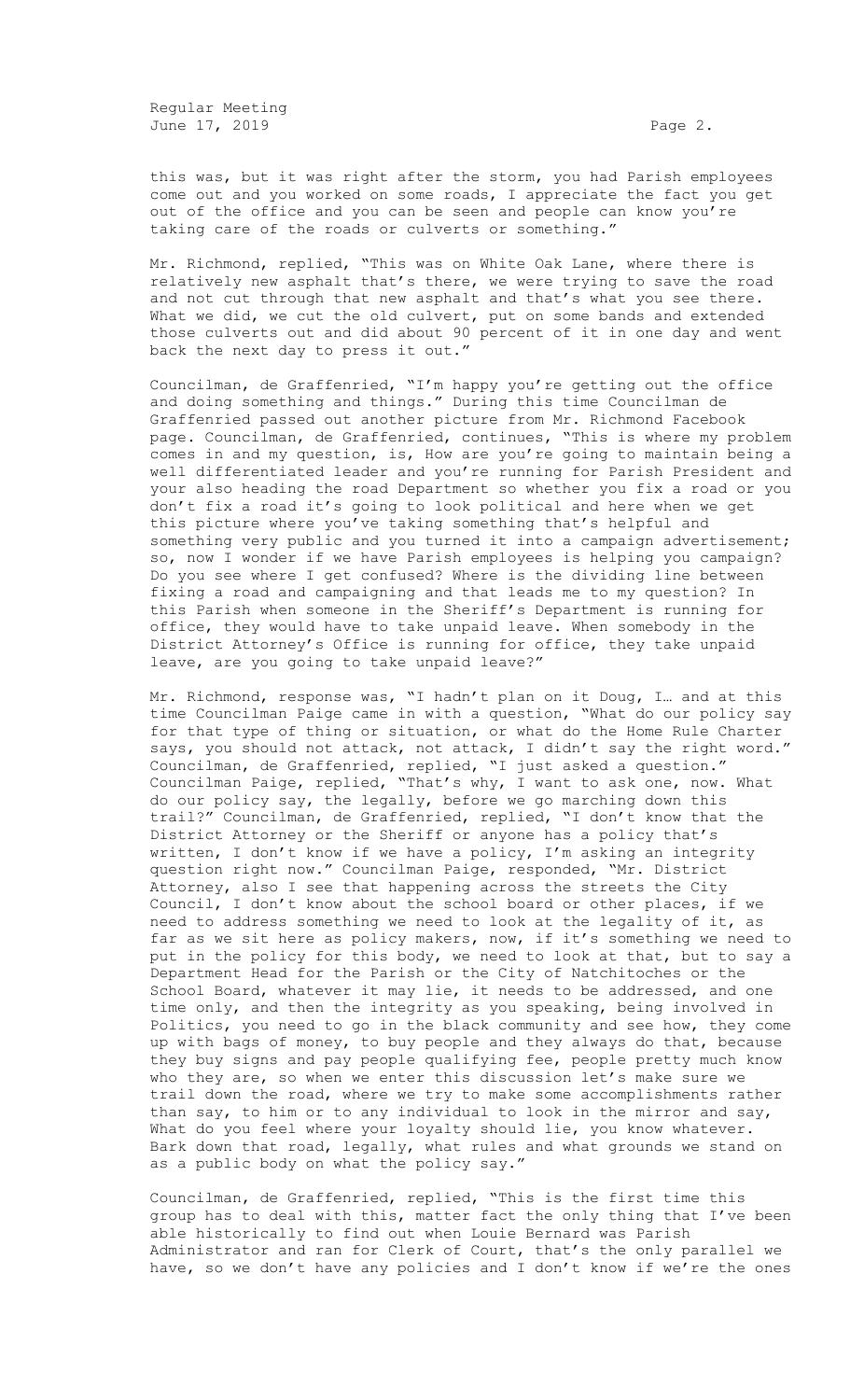Regular Meeting June 17, 2019 **Page 2. Page 2. Page 2.** 

this was, but it was right after the storm, you had Parish employees come out and you worked on some roads, I appreciate the fact you get out of the office and you can be seen and people can know you're taking care of the roads or culverts or something."

Mr. Richmond, replied, "This was on White Oak Lane, where there is relatively new asphalt that's there, we were trying to save the road and not cut through that new asphalt and that's what you see there. What we did, we cut the old culvert, put on some bands and extended those culverts out and did about 90 percent of it in one day and went back the next day to press it out."

Councilman, de Graffenried, "I'm happy you're getting out the office and doing something and things." During this time Councilman de Graffenried passed out another picture from Mr. Richmond Facebook page. Councilman, de Graffenried, continues, "This is where my problem comes in and my question, is, How are you're going to maintain being a well differentiated leader and you're running for Parish President and your also heading the road Department so whether you fix a road or you don't fix a road it's going to look political and here when we get this picture where you've taking something that's helpful and something very public and you turned it into a campaign advertisement; so, now I wonder if we have Parish employees is helping you campaign? Do you see where I get confused? Where is the dividing line between fixing a road and campaigning and that leads me to my question? In this Parish when someone in the Sheriff's Department is running for office, they would have to take unpaid leave. When somebody in the District Attorney's Office is running for office, they take unpaid leave, are you going to take unpaid leave?"

Mr. Richmond, response was, "I hadn't plan on it Doug, I… and at this time Councilman Paige came in with a question, "What do our policy say for that type of thing or situation, or what do the Home Rule Charter says, you should not attack, not attack, I didn't say the right word." Councilman, de Graffenried, replied, "I just asked a question." Councilman Paige, replied, "That's why, I want to ask one, now. What do our policy say, the legally, before we go marching down this trail?" Councilman, de Graffenried, replied, "I don't know that the District Attorney or the Sheriff or anyone has a policy that's written, I don't know if we have a policy, I'm asking an integrity question right now." Councilman Paige, responded, "Mr. District Attorney, also I see that happening across the streets the City Council, I don't know about the school board or other places, if we need to address something we need to look at the legality of it, as far as we sit here as policy makers, now, if it's something we need to put in the policy for this body, we need to look at that, but to say a Department Head for the Parish or the City of Natchitoches or the School Board, whatever it may lie, it needs to be addressed, and one time only, and then the integrity as you speaking, being involved in Politics, you need to go in the black community and see how, they come up with bags of money, to buy people and they always do that, because they buy signs and pay people qualifying fee, people pretty much know who they are, so when we enter this discussion let's make sure we trail down the road, where we try to make some accomplishments rather than say, to him or to any individual to look in the mirror and say, What do you feel where your loyalty should lie, you know whatever. Bark down that road, legally, what rules and what grounds we stand on as a public body on what the policy say."

Councilman, de Graffenried, replied, "This is the first time this group has to deal with this, matter fact the only thing that I've been able historically to find out when Louie Bernard was Parish Administrator and ran for Clerk of Court, that's the only parallel we have, so we don't have any policies and I don't know if we're the ones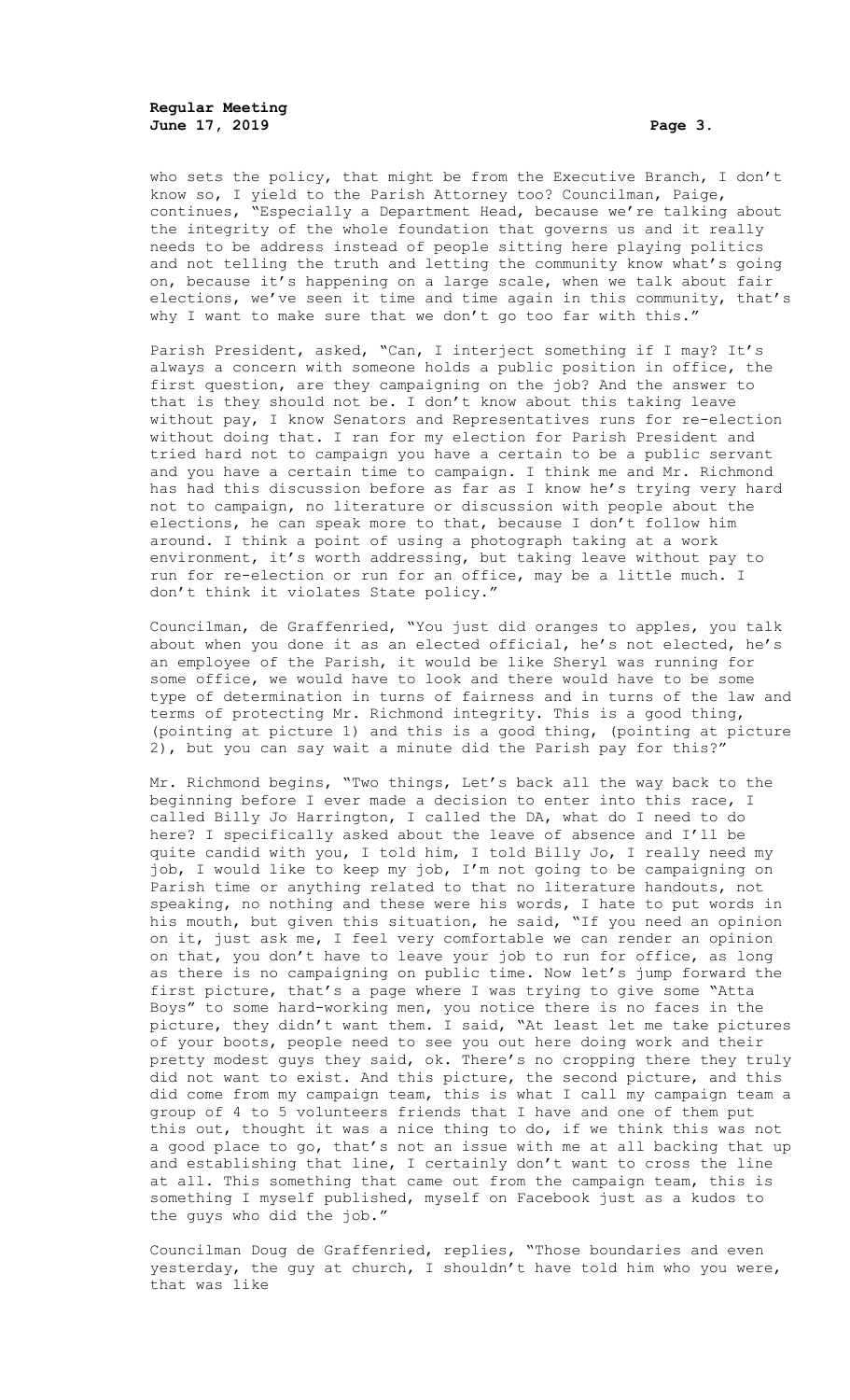**Regular Meeting June 17, 2019 Page 3.**

who sets the policy, that might be from the Executive Branch, I don't know so, I yield to the Parish Attorney too? Councilman, Paige, continues, "Especially a Department Head, because we're talking about the integrity of the whole foundation that governs us and it really needs to be address instead of people sitting here playing politics and not telling the truth and letting the community know what's going on, because it's happening on a large scale, when we talk about fair elections, we've seen it time and time again in this community, that's why I want to make sure that we don't go too far with this."

Parish President, asked, "Can, I interject something if I may? It's always a concern with someone holds a public position in office, the first question, are they campaigning on the job? And the answer to that is they should not be. I don't know about this taking leave without pay, I know Senators and Representatives runs for re-election without doing that. I ran for my election for Parish President and tried hard not to campaign you have a certain to be a public servant and you have a certain time to campaign. I think me and Mr. Richmond has had this discussion before as far as I know he's trying very hard not to campaign, no literature or discussion with people about the elections, he can speak more to that, because I don't follow him around. I think a point of using a photograph taking at a work environment, it's worth addressing, but taking leave without pay to run for re-election or run for an office, may be a little much. I don't think it violates State policy."

Councilman, de Graffenried, "You just did oranges to apples, you talk about when you done it as an elected official, he's not elected, he's an employee of the Parish, it would be like Sheryl was running for some office, we would have to look and there would have to be some type of determination in turns of fairness and in turns of the law and terms of protecting Mr. Richmond integrity. This is a good thing, (pointing at picture 1) and this is a good thing, (pointing at picture 2), but you can say wait a minute did the Parish pay for this?"

Mr. Richmond begins, "Two things, Let's back all the way back to the beginning before I ever made a decision to enter into this race, I called Billy Jo Harrington, I called the DA, what do I need to do here? I specifically asked about the leave of absence and I'll be quite candid with you, I told him, I told Billy Jo, I really need my job, I would like to keep my job, I'm not going to be campaigning on Parish time or anything related to that no literature handouts, not speaking, no nothing and these were his words, I hate to put words in his mouth, but given this situation, he said, "If you need an opinion on it, just ask me, I feel very comfortable we can render an opinion on that, you don't have to leave your job to run for office, as long as there is no campaigning on public time. Now let's jump forward the first picture, that's a page where I was trying to give some "Atta Boys" to some hard-working men, you notice there is no faces in the picture, they didn't want them. I said, "At least let me take pictures of your boots, people need to see you out here doing work and their pretty modest guys they said, ok. There's no cropping there they truly did not want to exist. And this picture, the second picture, and this did come from my campaign team, this is what I call my campaign team a group of 4 to 5 volunteers friends that I have and one of them put this out, thought it was a nice thing to do, if we think this was not a good place to go, that's not an issue with me at all backing that up and establishing that line, I certainly don't want to cross the line at all. This something that came out from the campaign team, this is something I myself published, myself on Facebook just as a kudos to the guys who did the job."

Councilman Doug de Graffenried, replies, "Those boundaries and even yesterday, the guy at church, I shouldn't have told him who you were, that was like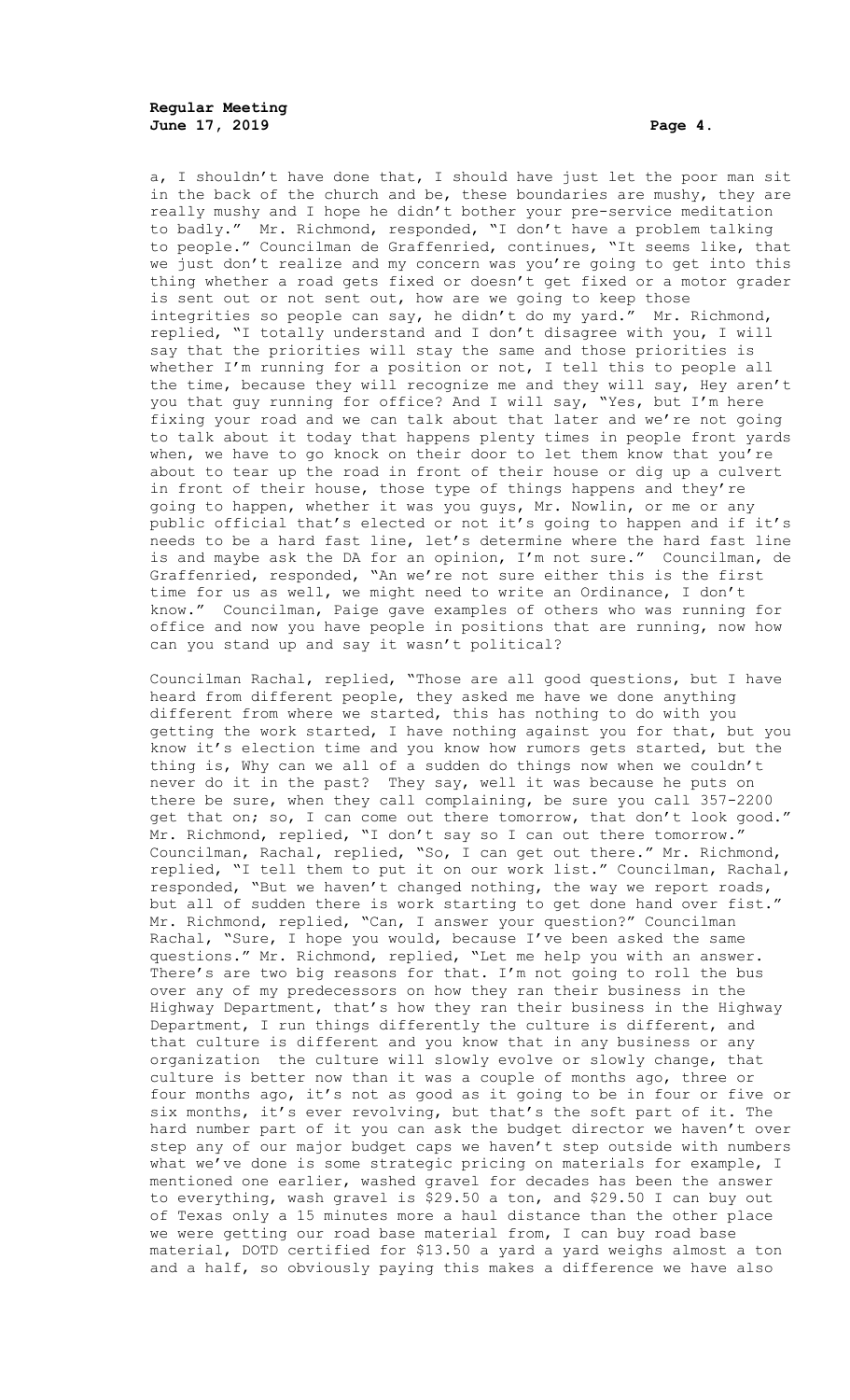a, I shouldn't have done that, I should have just let the poor man sit in the back of the church and be, these boundaries are mushy, they are really mushy and I hope he didn't bother your pre-service meditation to badly." Mr. Richmond, responded, "I don't have a problem talking to people." Councilman de Graffenried, continues, "It seems like, that we just don't realize and my concern was you're going to get into this thing whether a road gets fixed or doesn't get fixed or a motor grader is sent out or not sent out, how are we going to keep those integrities so people can say, he didn't do my yard." Mr. Richmond, replied, "I totally understand and I don't disagree with you, I will say that the priorities will stay the same and those priorities is whether I'm running for a position or not, I tell this to people all the time, because they will recognize me and they will say, Hey aren't you that guy running for office? And I will say, "Yes, but I'm here fixing your road and we can talk about that later and we're not going to talk about it today that happens plenty times in people front yards when, we have to go knock on their door to let them know that you're about to tear up the road in front of their house or dig up a culvert in front of their house, those type of things happens and they're going to happen, whether it was you guys, Mr. Nowlin, or me or any public official that's elected or not it's going to happen and if it's needs to be a hard fast line, let's determine where the hard fast line is and maybe ask the DA for an opinion, I'm not sure." Councilman, de Graffenried, responded, "An we're not sure either this is the first time for us as well, we might need to write an Ordinance, I don't know." Councilman, Paige gave examples of others who was running for office and now you have people in positions that are running, now how can you stand up and say it wasn't political?

Councilman Rachal, replied, "Those are all good questions, but I have heard from different people, they asked me have we done anything different from where we started, this has nothing to do with you getting the work started, I have nothing against you for that, but you know it's election time and you know how rumors gets started, but the thing is, Why can we all of a sudden do things now when we couldn't never do it in the past? They say, well it was because he puts on there be sure, when they call complaining, be sure you call 357-2200 get that on; so, I can come out there tomorrow, that don't look good." Mr. Richmond, replied, "I don't say so I can out there tomorrow." Councilman, Rachal, replied, "So, I can get out there." Mr. Richmond, replied, "I tell them to put it on our work list." Councilman, Rachal, responded, "But we haven't changed nothing, the way we report roads, but all of sudden there is work starting to get done hand over fist." Mr. Richmond, replied, "Can, I answer your question?" Councilman Rachal, "Sure, I hope you would, because I've been asked the same questions." Mr. Richmond, replied, "Let me help you with an answer. There's are two big reasons for that. I'm not going to roll the bus over any of my predecessors on how they ran their business in the Highway Department, that's how they ran their business in the Highway Department, I run things differently the culture is different, and that culture is different and you know that in any business or any organization the culture will slowly evolve or slowly change, that culture is better now than it was a couple of months ago, three or four months ago, it's not as good as it going to be in four or five or six months, it's ever revolving, but that's the soft part of it. The hard number part of it you can ask the budget director we haven't over step any of our major budget caps we haven't step outside with numbers what we've done is some strategic pricing on materials for example, I mentioned one earlier, washed gravel for decades has been the answer to everything, wash gravel is \$29.50 a ton, and \$29.50 I can buy out of Texas only a 15 minutes more a haul distance than the other place we were getting our road base material from, I can buy road base material, DOTD certified for \$13.50 a yard a yard weighs almost a ton and a half, so obviously paying this makes a difference we have also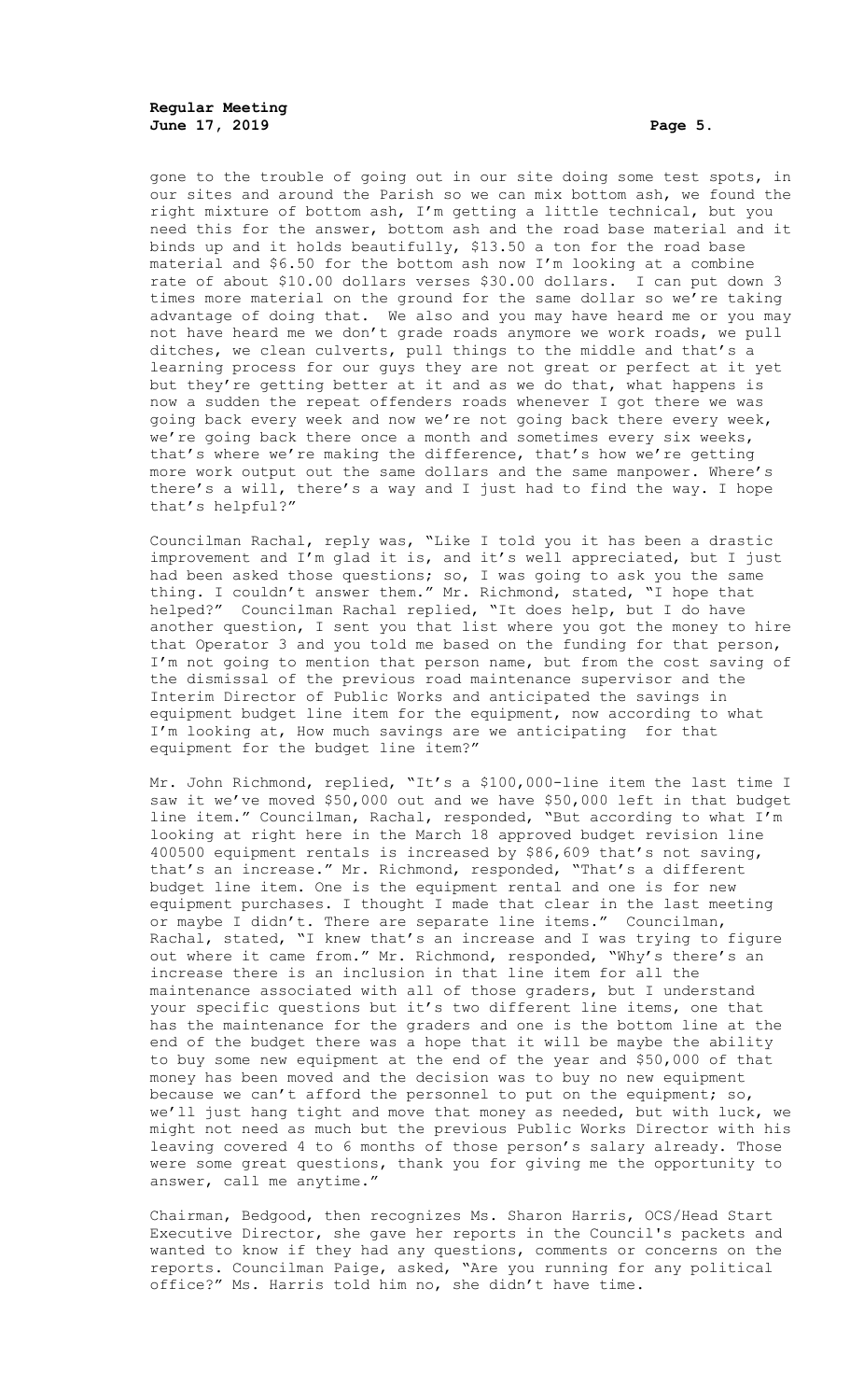**Regular Meeting June 17, 2019 Page 5.**

gone to the trouble of going out in our site doing some test spots, in our sites and around the Parish so we can mix bottom ash, we found the right mixture of bottom ash, I'm getting a little technical, but you need this for the answer, bottom ash and the road base material and it binds up and it holds beautifully, \$13.50 a ton for the road base material and \$6.50 for the bottom ash now I'm looking at a combine rate of about \$10.00 dollars verses \$30.00 dollars. I can put down 3 times more material on the ground for the same dollar so we're taking advantage of doing that. We also and you may have heard me or you may not have heard me we don't grade roads anymore we work roads, we pull ditches, we clean culverts, pull things to the middle and that's a learning process for our guys they are not great or perfect at it yet but they're getting better at it and as we do that, what happens is now a sudden the repeat offenders roads whenever I got there we was going back every week and now we're not going back there every week, we're going back there once a month and sometimes every six weeks, that's where we're making the difference, that's how we're getting more work output out the same dollars and the same manpower. Where's there's a will, there's a way and I just had to find the way. I hope that's helpful?"

Councilman Rachal, reply was, "Like I told you it has been a drastic improvement and I'm glad it is, and it's well appreciated, but I just had been asked those questions; so, I was going to ask you the same thing. I couldn't answer them." Mr. Richmond, stated, "I hope that helped?" Councilman Rachal replied, "It does help, but I do have another question, I sent you that list where you got the money to hire that Operator 3 and you told me based on the funding for that person, I'm not going to mention that person name, but from the cost saving of the dismissal of the previous road maintenance supervisor and the Interim Director of Public Works and anticipated the savings in equipment budget line item for the equipment, now according to what I'm looking at, How much savings are we anticipating for that equipment for the budget line item?"

Mr. John Richmond, replied, "It's a \$100,000-line item the last time I saw it we've moved \$50,000 out and we have \$50,000 left in that budget line item." Councilman, Rachal, responded, "But according to what I'm looking at right here in the March 18 approved budget revision line 400500 equipment rentals is increased by \$86,609 that's not saving, that's an increase." Mr. Richmond, responded, "That's a different budget line item. One is the equipment rental and one is for new equipment purchases. I thought I made that clear in the last meeting or maybe I didn't. There are separate line items." Councilman, Rachal, stated, "I knew that's an increase and I was trying to figure out where it came from." Mr. Richmond, responded, "Why's there's an increase there is an inclusion in that line item for all the maintenance associated with all of those graders, but I understand your specific questions but it's two different line items, one that has the maintenance for the graders and one is the bottom line at the end of the budget there was a hope that it will be maybe the ability to buy some new equipment at the end of the year and \$50,000 of that money has been moved and the decision was to buy no new equipment because we can't afford the personnel to put on the equipment; so, we'll just hang tight and move that money as needed, but with luck, we might not need as much but the previous Public Works Director with his leaving covered 4 to 6 months of those person's salary already. Those were some great questions, thank you for giving me the opportunity to answer, call me anytime."

Chairman, Bedgood, then recognizes Ms. Sharon Harris, OCS/Head Start Executive Director, she gave her reports in the Council's packets and wanted to know if they had any questions, comments or concerns on the reports. Councilman Paige, asked, "Are you running for any political office?" Ms. Harris told him no, she didn't have time.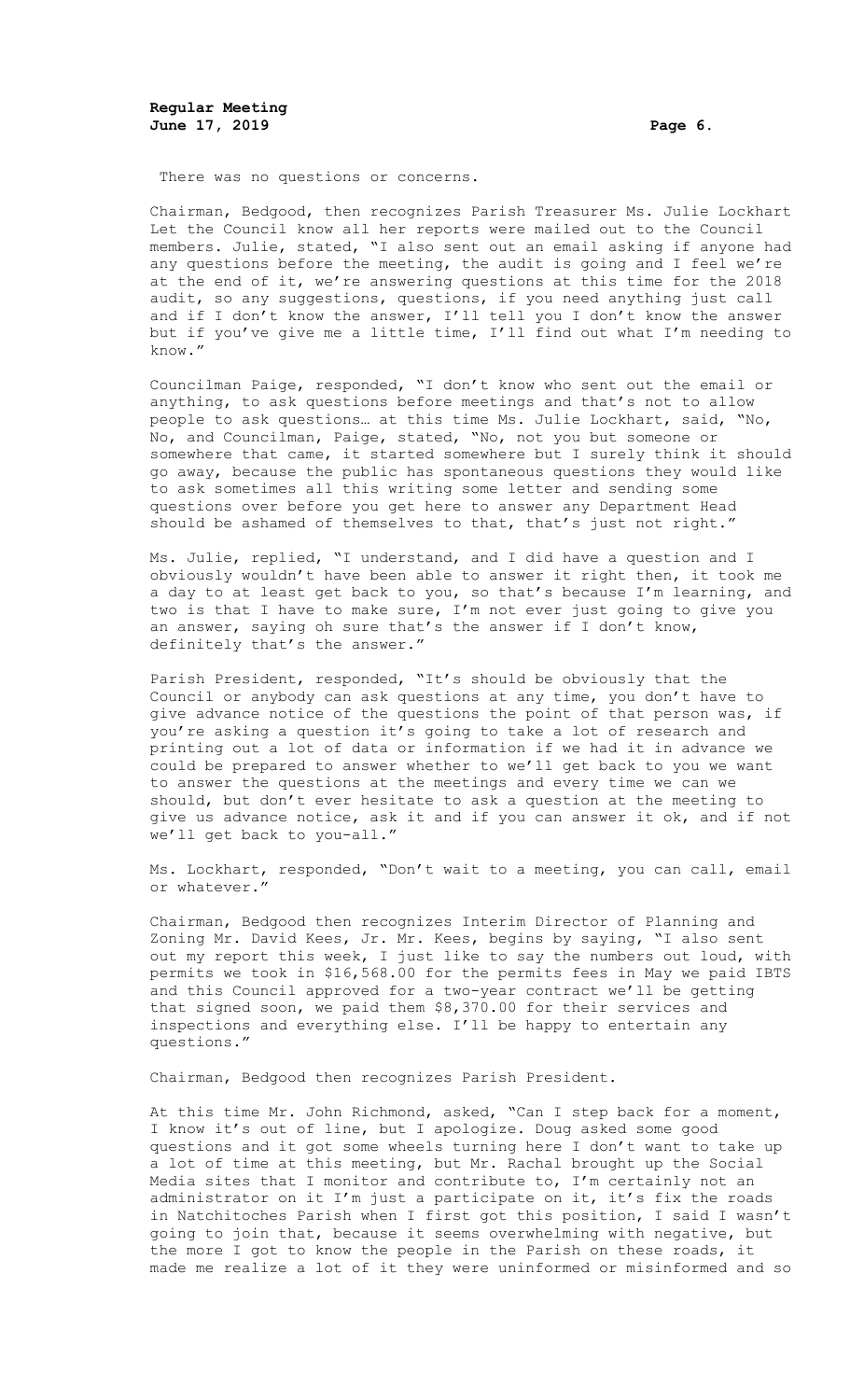There was no questions or concerns.

Chairman, Bedgood, then recognizes Parish Treasurer Ms. Julie Lockhart Let the Council know all her reports were mailed out to the Council members. Julie, stated, "I also sent out an email asking if anyone had any questions before the meeting, the audit is going and I feel we're at the end of it, we're answering questions at this time for the 2018 audit, so any suggestions, questions, if you need anything just call and if I don't know the answer, I'll tell you I don't know the answer but if you've give me a little time, I'll find out what I'm needing to know."

Councilman Paige, responded, "I don't know who sent out the email or anything, to ask questions before meetings and that's not to allow people to ask questions… at this time Ms. Julie Lockhart, said, "No, No, and Councilman, Paige, stated, "No, not you but someone or somewhere that came, it started somewhere but I surely think it should go away, because the public has spontaneous questions they would like to ask sometimes all this writing some letter and sending some questions over before you get here to answer any Department Head should be ashamed of themselves to that, that's just not right."

Ms. Julie, replied, "I understand, and I did have a question and I obviously wouldn't have been able to answer it right then, it took me a day to at least get back to you, so that's because I'm learning, and two is that I have to make sure, I'm not ever just going to give you an answer, saying oh sure that's the answer if I don't know, definitely that's the answer."

Parish President, responded, "It's should be obviously that the Council or anybody can ask questions at any time, you don't have to give advance notice of the questions the point of that person was, if you're asking a question it's going to take a lot of research and printing out a lot of data or information if we had it in advance we could be prepared to answer whether to we'll get back to you we want to answer the questions at the meetings and every time we can we should, but don't ever hesitate to ask a question at the meeting to give us advance notice, ask it and if you can answer it ok, and if not we'll get back to you-all."

Ms. Lockhart, responded, "Don't wait to a meeting, you can call, email or whatever."

Chairman, Bedgood then recognizes Interim Director of Planning and Zoning Mr. David Kees, Jr. Mr. Kees, begins by saying, "I also sent out my report this week, I just like to say the numbers out loud, with permits we took in \$16,568.00 for the permits fees in May we paid IBTS and this Council approved for a two-year contract we'll be getting that signed soon, we paid them \$8,370.00 for their services and inspections and everything else. I'll be happy to entertain any questions."

Chairman, Bedgood then recognizes Parish President.

At this time Mr. John Richmond, asked, "Can I step back for a moment, I know it's out of line, but I apologize. Doug asked some good questions and it got some wheels turning here I don't want to take up a lot of time at this meeting, but Mr. Rachal brought up the Social Media sites that I monitor and contribute to, I'm certainly not an administrator on it I'm just a participate on it, it's fix the roads in Natchitoches Parish when I first got this position, I said I wasn't going to join that, because it seems overwhelming with negative, but the more I got to know the people in the Parish on these roads, it made me realize a lot of it they were uninformed or misinformed and so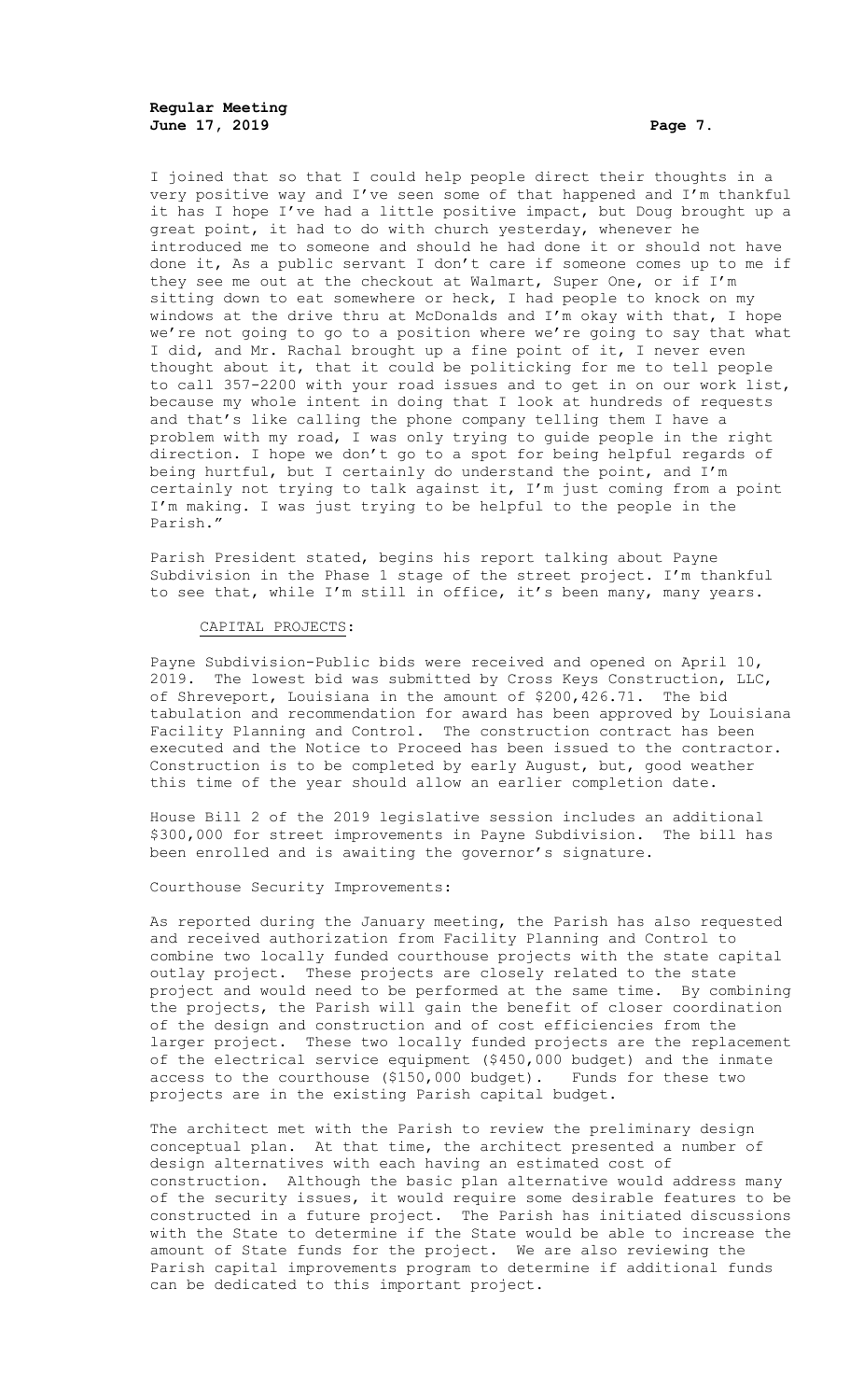**Regular Meeting June 17, 2019 Page 7.**

I joined that so that I could help people direct their thoughts in a very positive way and I've seen some of that happened and I'm thankful it has I hope I've had a little positive impact, but Doug brought up a great point, it had to do with church yesterday, whenever he introduced me to someone and should he had done it or should not have done it, As a public servant I don't care if someone comes up to me if they see me out at the checkout at Walmart, Super One, or if I'm sitting down to eat somewhere or heck, I had people to knock on my windows at the drive thru at McDonalds and I'm okay with that, I hope we're not going to go to a position where we're going to say that what I did, and Mr. Rachal brought up a fine point of it, I never even thought about it, that it could be politicking for me to tell people to call 357-2200 with your road issues and to get in on our work list, because my whole intent in doing that I look at hundreds of requests and that's like calling the phone company telling them I have a problem with my road, I was only trying to guide people in the right direction. I hope we don't go to a spot for being helpful regards of being hurtful, but I certainly do understand the point, and I'm certainly not trying to talk against it, I'm just coming from a point I'm making. I was just trying to be helpful to the people in the Parish."

Parish President stated, begins his report talking about Payne Subdivision in the Phase 1 stage of the street project. I'm thankful to see that, while I'm still in office, it's been many, many years.

## CAPITAL PROJECTS:

Payne Subdivision-Public bids were received and opened on April 10, 2019. The lowest bid was submitted by Cross Keys Construction, LLC, of Shreveport, Louisiana in the amount of \$200, 426.71. The bid tabulation and recommendation for award has been approved by Louisiana Facility Planning and Control. The construction contract has been executed and the Notice to Proceed has been issued to the contractor. Construction is to be completed by early August, but, good weather this time of the year should allow an earlier completion date.

House Bill 2 of the 2019 legislative session includes an additional \$300,000 for street improvements in Payne Subdivision. The bill has been enrolled and is awaiting the governor's signature.

Courthouse Security Improvements:

As reported during the January meeting, the Parish has also requested and received authorization from Facility Planning and Control to combine two locally funded courthouse projects with the state capital outlay project. These projects are closely related to the state project and would need to be performed at the same time. By combining the projects, the Parish will gain the benefit of closer coordination of the design and construction and of cost efficiencies from the larger project. These two locally funded projects are the replacement of the electrical service equipment (\$450,000 budget) and the inmate access to the courthouse (\$150,000 budget). Funds for these two projects are in the existing Parish capital budget.

The architect met with the Parish to review the preliminary design conceptual plan. At that time, the architect presented a number of design alternatives with each having an estimated cost of construction. Although the basic plan alternative would address many of the security issues, it would require some desirable features to be constructed in a future project. The Parish has initiated discussions with the State to determine if the State would be able to increase the amount of State funds for the project. We are also reviewing the Parish capital improvements program to determine if additional funds can be dedicated to this important project.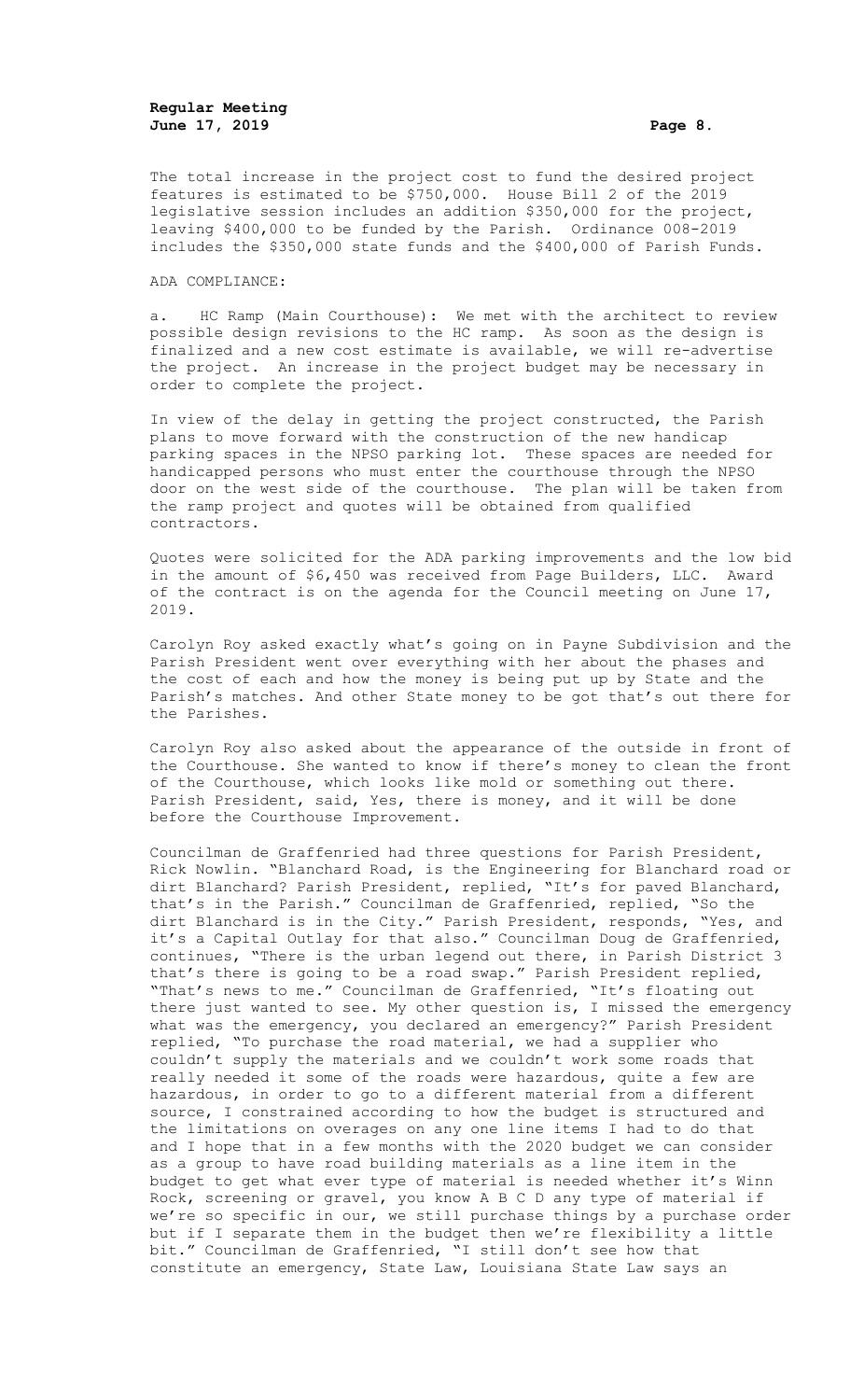The total increase in the project cost to fund the desired project features is estimated to be \$750,000. House Bill 2 of the 2019 legislative session includes an addition \$350,000 for the project, leaving \$400,000 to be funded by the Parish. Ordinance 008-2019 includes the \$350,000 state funds and the \$400,000 of Parish Funds.

#### ADA COMPLIANCE:

a. HC Ramp (Main Courthouse): We met with the architect to review possible design revisions to the HC ramp. As soon as the design is finalized and a new cost estimate is available, we will re-advertise the project. An increase in the project budget may be necessary in order to complete the project.

In view of the delay in getting the project constructed, the Parish plans to move forward with the construction of the new handicap parking spaces in the NPSO parking lot. These spaces are needed for handicapped persons who must enter the courthouse through the NPSO door on the west side of the courthouse. The plan will be taken from the ramp project and quotes will be obtained from qualified contractors.

Quotes were solicited for the ADA parking improvements and the low bid in the amount of \$6,450 was received from Page Builders, LLC. Award of the contract is on the agenda for the Council meeting on June 17, 2019.

Carolyn Roy asked exactly what's going on in Payne Subdivision and the Parish President went over everything with her about the phases and the cost of each and how the money is being put up by State and the Parish's matches. And other State money to be got that's out there for the Parishes.

Carolyn Roy also asked about the appearance of the outside in front of the Courthouse. She wanted to know if there's money to clean the front of the Courthouse, which looks like mold or something out there. Parish President, said, Yes, there is money, and it will be done before the Courthouse Improvement.

Councilman de Graffenried had three questions for Parish President, Rick Nowlin. "Blanchard Road, is the Engineering for Blanchard road or dirt Blanchard? Parish President, replied, "It's for paved Blanchard, that's in the Parish." Councilman de Graffenried, replied, "So the dirt Blanchard is in the City." Parish President, responds, "Yes, and it's a Capital Outlay for that also." Councilman Doug de Graffenried, continues, "There is the urban legend out there, in Parish District 3 that's there is going to be a road swap." Parish President replied, "That's news to me." Councilman de Graffenried, "It's floating out there just wanted to see. My other question is, I missed the emergency what was the emergency, you declared an emergency?" Parish President replied, "To purchase the road material, we had a supplier who couldn't supply the materials and we couldn't work some roads that really needed it some of the roads were hazardous, quite a few are hazardous, in order to go to a different material from a different source, I constrained according to how the budget is structured and the limitations on overages on any one line items I had to do that and I hope that in a few months with the 2020 budget we can consider as a group to have road building materials as a line item in the budget to get what ever type of material is needed whether it's Winn Rock, screening or gravel, you know A B C D any type of material if we're so specific in our, we still purchase things by a purchase order but if I separate them in the budget then we're flexibility a little bit." Councilman de Graffenried, "I still don't see how that constitute an emergency, State Law, Louisiana State Law says an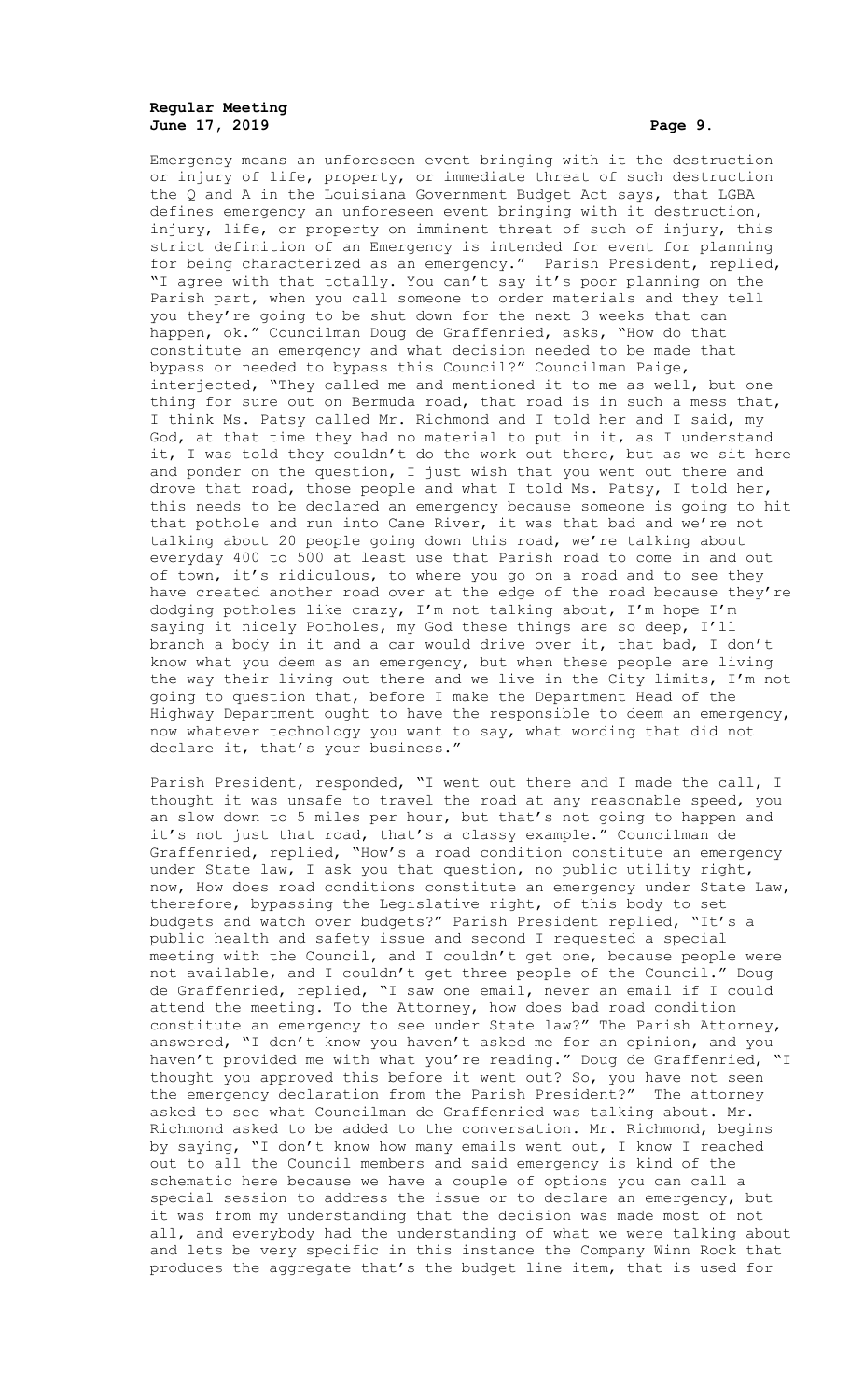# **Regular Meeting June 17, 2019 Page 9.**

Emergency means an unforeseen event bringing with it the destruction or injury of life, property, or immediate threat of such destruction the Q and A in the Louisiana Government Budget Act says, that LGBA defines emergency an unforeseen event bringing with it destruction, injury, life, or property on imminent threat of such of injury, this strict definition of an Emergency is intended for event for planning for being characterized as an emergency." Parish President, replied, "I agree with that totally. You can't say it's poor planning on the Parish part, when you call someone to order materials and they tell you they're going to be shut down for the next 3 weeks that can happen, ok." Councilman Doug de Graffenried, asks, "How do that constitute an emergency and what decision needed to be made that bypass or needed to bypass this Council?" Councilman Paige, interjected, "They called me and mentioned it to me as well, but one thing for sure out on Bermuda road, that road is in such a mess that, I think Ms. Patsy called Mr. Richmond and I told her and I said, my God, at that time they had no material to put in it, as I understand it, I was told they couldn't do the work out there, but as we sit here and ponder on the question, I just wish that you went out there and drove that road, those people and what I told Ms. Patsy, I told her, this needs to be declared an emergency because someone is going to hit that pothole and run into Cane River, it was that bad and we're not talking about 20 people going down this road, we're talking about everyday 400 to 500 at least use that Parish road to come in and out of town, it's ridiculous, to where you go on a road and to see they have created another road over at the edge of the road because they're dodging potholes like crazy, I'm not talking about, I'm hope I'm saying it nicely Potholes, my God these things are so deep, I'll branch a body in it and a car would drive over it, that bad, I don't know what you deem as an emergency, but when these people are living the way their living out there and we live in the City limits, I'm not going to question that, before I make the Department Head of the Highway Department ought to have the responsible to deem an emergency, now whatever technology you want to say, what wording that did not declare it, that's your business."

Parish President, responded, "I went out there and I made the call, I thought it was unsafe to travel the road at any reasonable speed, you an slow down to 5 miles per hour, but that's not going to happen and it's not just that road, that's a classy example." Councilman de Graffenried, replied, "How's a road condition constitute an emergency under State law, I ask you that question, no public utility right, now, How does road conditions constitute an emergency under State Law, therefore, bypassing the Legislative right, of this body to set budgets and watch over budgets?" Parish President replied, "It's a public health and safety issue and second I requested a special meeting with the Council, and I couldn't get one, because people were not available, and I couldn't get three people of the Council." Doug de Graffenried, replied, "I saw one email, never an email if I could attend the meeting. To the Attorney, how does bad road condition constitute an emergency to see under State law?" The Parish Attorney, answered, "I don't know you haven't asked me for an opinion, and you haven't provided me with what you're reading." Doug de Graffenried, "I thought you approved this before it went out? So, you have not seen the emergency declaration from the Parish President?" The attorney asked to see what Councilman de Graffenried was talking about. Mr. Richmond asked to be added to the conversation. Mr. Richmond, begins by saying, "I don't know how many emails went out, I know I reached out to all the Council members and said emergency is kind of the schematic here because we have a couple of options you can call a special session to address the issue or to declare an emergency, but it was from my understanding that the decision was made most of not all, and everybody had the understanding of what we were talking about and lets be very specific in this instance the Company Winn Rock that produces the aggregate that's the budget line item, that is used for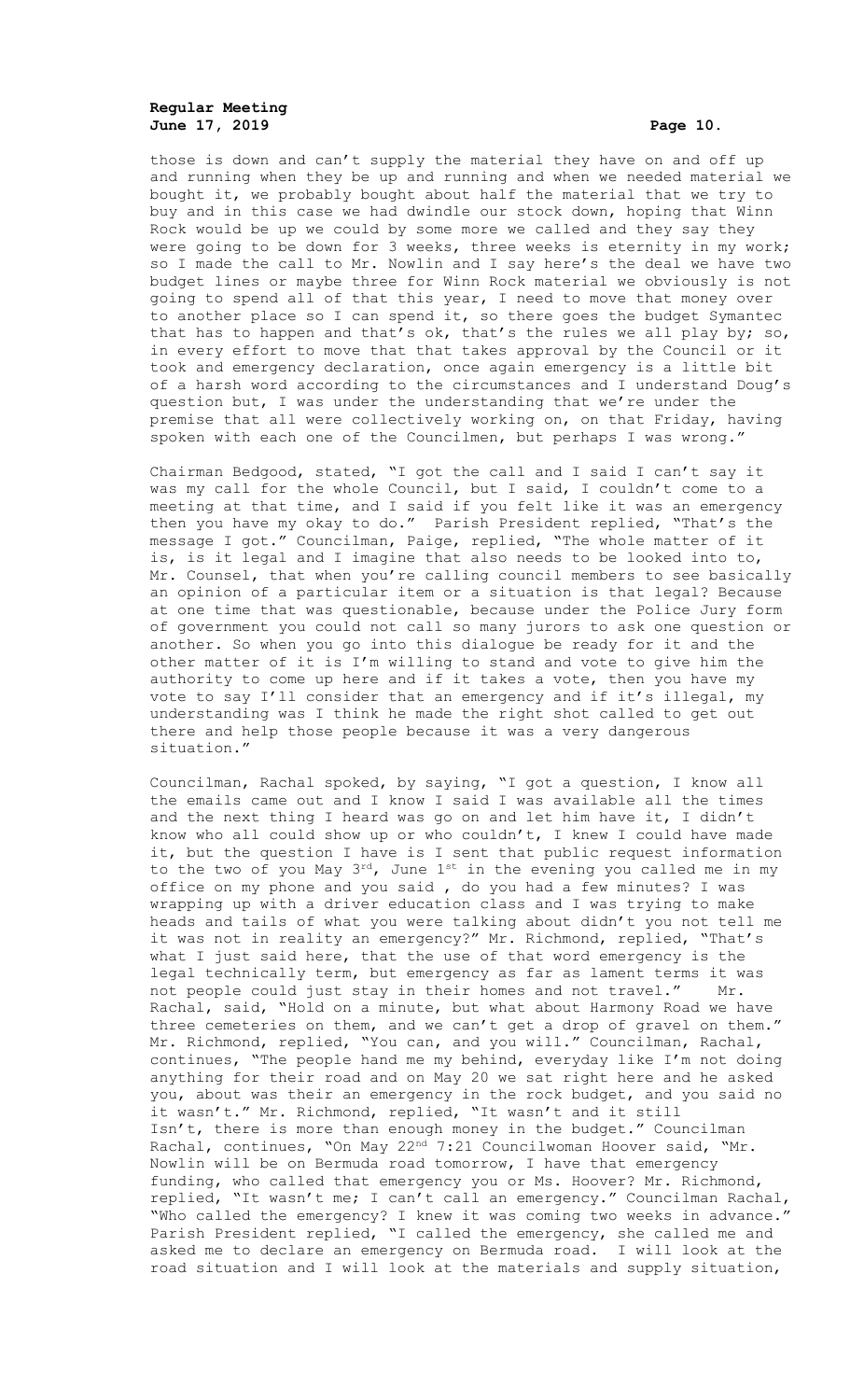# **Regular Meeting June 17, 2019 Page 10.**

those is down and can't supply the material they have on and off up and running when they be up and running and when we needed material we bought it, we probably bought about half the material that we try to buy and in this case we had dwindle our stock down, hoping that Winn Rock would be up we could by some more we called and they say they were going to be down for 3 weeks, three weeks is eternity in my work; so I made the call to Mr. Nowlin and I say here's the deal we have two budget lines or maybe three for Winn Rock material we obviously is not going to spend all of that this year, I need to move that money over to another place so I can spend it, so there goes the budget Symantec that has to happen and that's ok, that's the rules we all play by; so, in every effort to move that that takes approval by the Council or it took and emergency declaration, once again emergency is a little bit of a harsh word according to the circumstances and I understand Doug's question but, I was under the understanding that we're under the premise that all were collectively working on, on that Friday, having spoken with each one of the Councilmen, but perhaps I was wrong."

Chairman Bedgood, stated, "I got the call and I said I can't say it was my call for the whole Council, but I said, I couldn't come to a meeting at that time, and I said if you felt like it was an emergency then you have my okay to do." Parish President replied, "That's the message I got." Councilman, Paige, replied, "The whole matter of it is, is it legal and I imagine that also needs to be looked into to, Mr. Counsel, that when you're calling council members to see basically an opinion of a particular item or a situation is that legal? Because at one time that was questionable, because under the Police Jury form of government you could not call so many jurors to ask one question or another. So when you go into this dialogue be ready for it and the other matter of it is I'm willing to stand and vote to give him the authority to come up here and if it takes a vote, then you have my vote to say I'll consider that an emergency and if it's illegal, my understanding was I think he made the right shot called to get out there and help those people because it was a very dangerous situation."

Councilman, Rachal spoked, by saying, "I got a question, I know all the emails came out and I know I said I was available all the times and the next thing I heard was go on and let him have it, I didn't know who all could show up or who couldn't, I knew I could have made it, but the question I have is I sent that public request information to the two of you May  $3^{rd}$ , June  $1^{st}$  in the evening you called me in my office on my phone and you said , do you had a few minutes? I was wrapping up with a driver education class and I was trying to make heads and tails of what you were talking about didn't you not tell me it was not in reality an emergency?" Mr. Richmond, replied, "That's what I just said here, that the use of that word emergency is the legal technically term, but emergency as far as lament terms it was not people could just stay in their homes and not travel." Mr. Rachal, said, "Hold on a minute, but what about Harmony Road we have three cemeteries on them, and we can't get a drop of gravel on them." Mr. Richmond, replied, "You can, and you will." Councilman, Rachal, continues, "The people hand me my behind, everyday like I'm not doing anything for their road and on May 20 we sat right here and he asked you, about was their an emergency in the rock budget, and you said no it wasn't." Mr. Richmond, replied, "It wasn't and it still Isn't, there is more than enough money in the budget." Councilman Rachal, continues, "On May 22<sup>nd</sup> 7:21 Councilwoman Hoover said, "Mr. Nowlin will be on Bermuda road tomorrow, I have that emergency funding, who called that emergency you or Ms. Hoover? Mr. Richmond, replied, "It wasn't me; I can't call an emergency." Councilman Rachal, "Who called the emergency? I knew it was coming two weeks in advance." Parish President replied, "I called the emergency, she called me and asked me to declare an emergency on Bermuda road. I will look at the road situation and I will look at the materials and supply situation,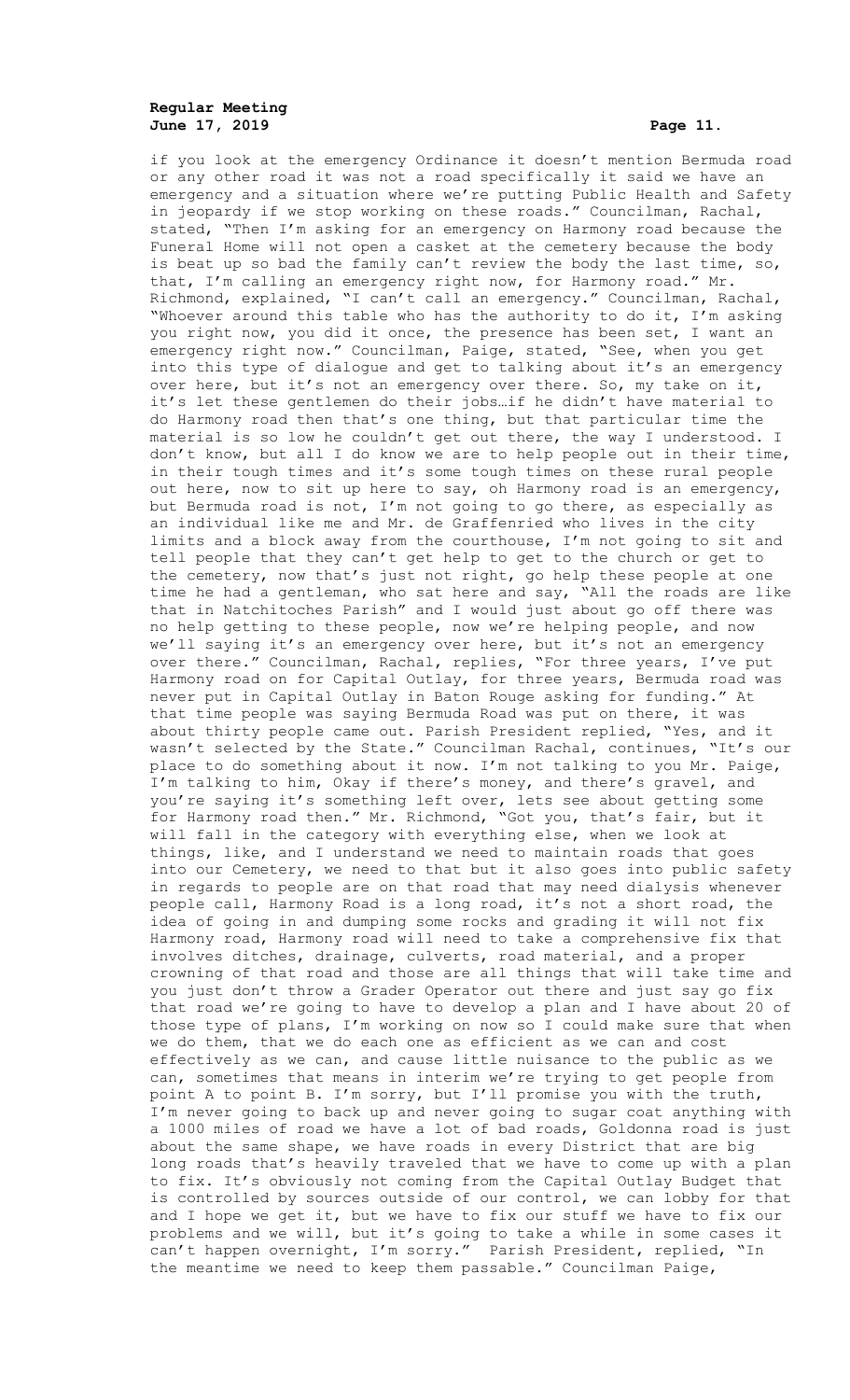# **Regular Meeting June 17, 2019 Page 11.**

if you look at the emergency Ordinance it doesn't mention Bermuda road or any other road it was not a road specifically it said we have an emergency and a situation where we're putting Public Health and Safety in jeopardy if we stop working on these roads." Councilman, Rachal, stated, "Then I'm asking for an emergency on Harmony road because the Funeral Home will not open a casket at the cemetery because the body is beat up so bad the family can't review the body the last time, so, that, I'm calling an emergency right now, for Harmony road." Mr. Richmond, explained, "I can't call an emergency." Councilman, Rachal, "Whoever around this table who has the authority to do it, I'm asking you right now, you did it once, the presence has been set, I want an emergency right now." Councilman, Paige, stated, "See, when you get into this type of dialogue and get to talking about it's an emergency over here, but it's not an emergency over there. So, my take on it, it's let these gentlemen do their jobs…if he didn't have material to do Harmony road then that's one thing, but that particular time the material is so low he couldn't get out there, the way I understood. I don't know, but all I do know we are to help people out in their time, in their tough times and it's some tough times on these rural people out here, now to sit up here to say, oh Harmony road is an emergency, but Bermuda road is not, I'm not going to go there, as especially as an individual like me and Mr. de Graffenried who lives in the city limits and a block away from the courthouse, I'm not going to sit and tell people that they can't get help to get to the church or get to the cemetery, now that's just not right, go help these people at one time he had a gentleman, who sat here and say, "All the roads are like that in Natchitoches Parish" and I would just about go off there was no help getting to these people, now we're helping people, and now we'll saying it's an emergency over here, but it's not an emergency over there." Councilman, Rachal, replies, "For three years, I've put Harmony road on for Capital Outlay, for three years, Bermuda road was never put in Capital Outlay in Baton Rouge asking for funding." At that time people was saying Bermuda Road was put on there, it was about thirty people came out. Parish President replied, "Yes, and it wasn't selected by the State." Councilman Rachal, continues, "It's our place to do something about it now. I'm not talking to you Mr. Paige, I'm talking to him, Okay if there's money, and there's gravel, and you're saying it's something left over, lets see about getting some for Harmony road then." Mr. Richmond, "Got you, that's fair, but it will fall in the category with everything else, when we look at things, like, and I understand we need to maintain roads that goes into our Cemetery, we need to that but it also goes into public safety in regards to people are on that road that may need dialysis whenever people call, Harmony Road is a long road, it's not a short road, the idea of going in and dumping some rocks and grading it will not fix Harmony road, Harmony road will need to take a comprehensive fix that involves ditches, drainage, culverts, road material, and a proper crowning of that road and those are all things that will take time and you just don't throw a Grader Operator out there and just say go fix that road we're going to have to develop a plan and I have about 20 of those type of plans, I'm working on now so I could make sure that when we do them, that we do each one as efficient as we can and cost effectively as we can, and cause little nuisance to the public as we can, sometimes that means in interim we're trying to get people from point A to point B. I'm sorry, but I'll promise you with the truth, I'm never going to back up and never going to sugar coat anything with a 1000 miles of road we have a lot of bad roads, Goldonna road is just about the same shape, we have roads in every District that are big long roads that's heavily traveled that we have to come up with a plan to fix. It's obviously not coming from the Capital Outlay Budget that is controlled by sources outside of our control, we can lobby for that and I hope we get it, but we have to fix our stuff we have to fix our problems and we will, but it's going to take a while in some cases it can't happen overnight, I'm sorry." Parish President, replied, "In the meantime we need to keep them passable." Councilman Paige,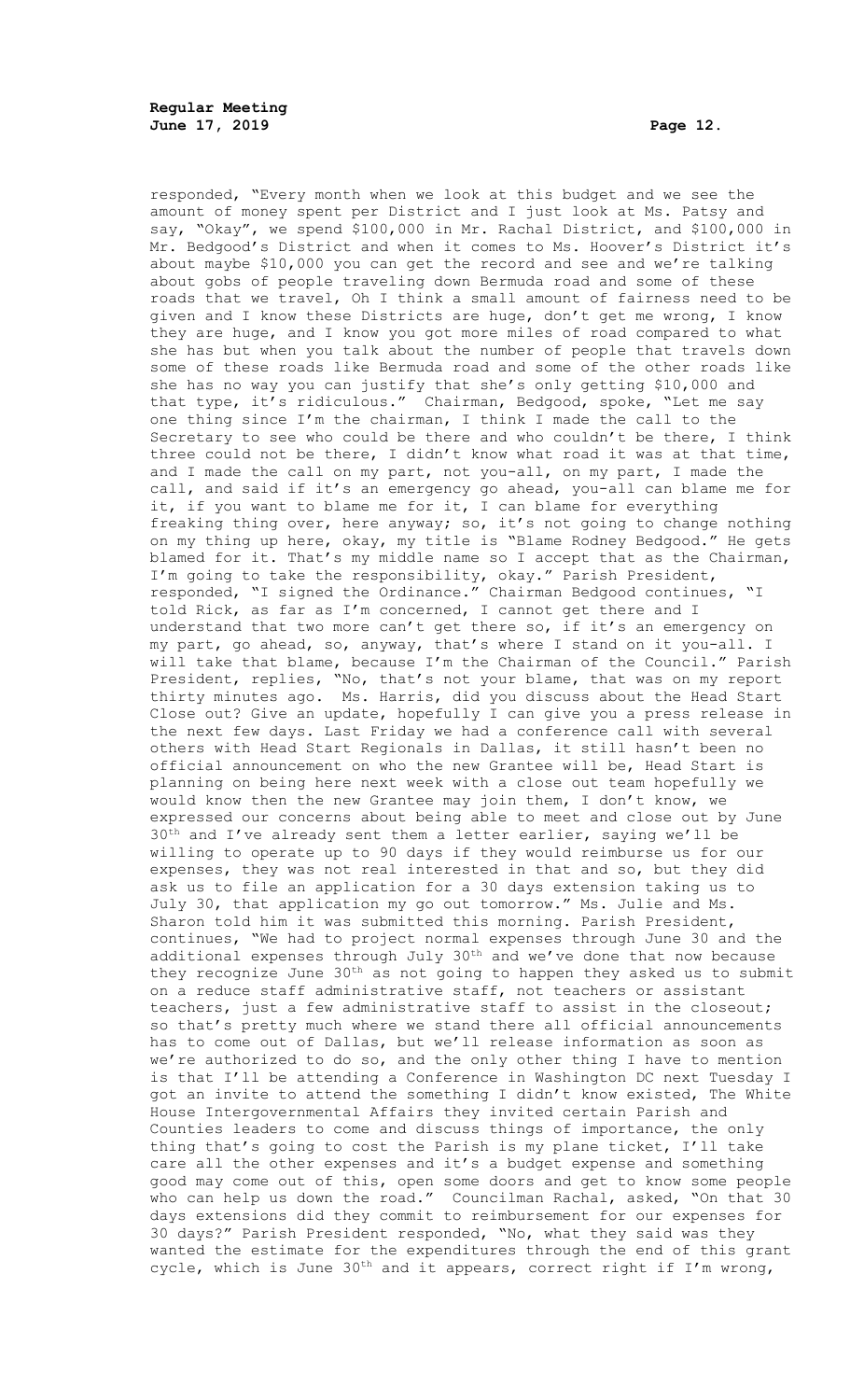responded, "Every month when we look at this budget and we see the amount of money spent per District and I just look at Ms. Patsy and say, "Okay", we spend \$100,000 in Mr. Rachal District, and \$100,000 in Mr. Bedgood's District and when it comes to Ms. Hoover's District it's about maybe \$10,000 you can get the record and see and we're talking about gobs of people traveling down Bermuda road and some of these roads that we travel, Oh I think a small amount of fairness need to be given and I know these Districts are huge, don't get me wrong, I know they are huge, and I know you got more miles of road compared to what she has but when you talk about the number of people that travels down some of these roads like Bermuda road and some of the other roads like she has no way you can justify that she's only getting \$10,000 and that type, it's ridiculous." Chairman, Bedgood, spoke, "Let me say one thing since I'm the chairman, I think I made the call to the Secretary to see who could be there and who couldn't be there, I think three could not be there, I didn't know what road it was at that time, and I made the call on my part, not you-all, on my part, I made the call, and said if it's an emergency go ahead, you-all can blame me for it, if you want to blame me for it, I can blame for everything freaking thing over, here anyway; so, it's not going to change nothing on my thing up here, okay, my title is "Blame Rodney Bedgood." He gets blamed for it. That's my middle name so I accept that as the Chairman, I'm going to take the responsibility, okay." Parish President, responded, "I signed the Ordinance." Chairman Bedgood continues, "I told Rick, as far as I'm concerned, I cannot get there and I understand that two more can't get there so, if it's an emergency on my part, go ahead, so, anyway, that's where I stand on it you-all. I will take that blame, because I'm the Chairman of the Council." Parish President, replies, "No, that's not your blame, that was on my report thirty minutes ago. Ms. Harris, did you discuss about the Head Start Close out? Give an update, hopefully I can give you a press release in the next few days. Last Friday we had a conference call with several others with Head Start Regionals in Dallas, it still hasn't been no official announcement on who the new Grantee will be, Head Start is planning on being here next week with a close out team hopefully we would know then the new Grantee may join them, I don't know, we expressed our concerns about being able to meet and close out by June  $30<sup>th</sup>$  and I've already sent them a letter earlier, saying we'll be willing to operate up to 90 days if they would reimburse us for our expenses, they was not real interested in that and so, but they did ask us to file an application for a 30 days extension taking us to July 30, that application my go out tomorrow." Ms. Julie and Ms. Sharon told him it was submitted this morning. Parish President, continues, "We had to project normal expenses through June 30 and the additional expenses through July 30<sup>th</sup> and we've done that now because they recognize June  $30<sup>th</sup>$  as not going to happen they asked us to submit on a reduce staff administrative staff, not teachers or assistant teachers, just a few administrative staff to assist in the closeout; so that's pretty much where we stand there all official announcements has to come out of Dallas, but we'll release information as soon as we're authorized to do so, and the only other thing I have to mention is that I'll be attending a Conference in Washington DC next Tuesday I got an invite to attend the something I didn't know existed, The White House Intergovernmental Affairs they invited certain Parish and Counties leaders to come and discuss things of importance, the only thing that's going to cost the Parish is my plane ticket, I'll take care all the other expenses and it's a budget expense and something good may come out of this, open some doors and get to know some people who can help us down the road." Councilman Rachal, asked, "On that 30 days extensions did they commit to reimbursement for our expenses for 30 days?" Parish President responded, "No, what they said was they wanted the estimate for the expenditures through the end of this grant cycle, which is June 30<sup>th</sup> and it appears, correct right if I'm wrong,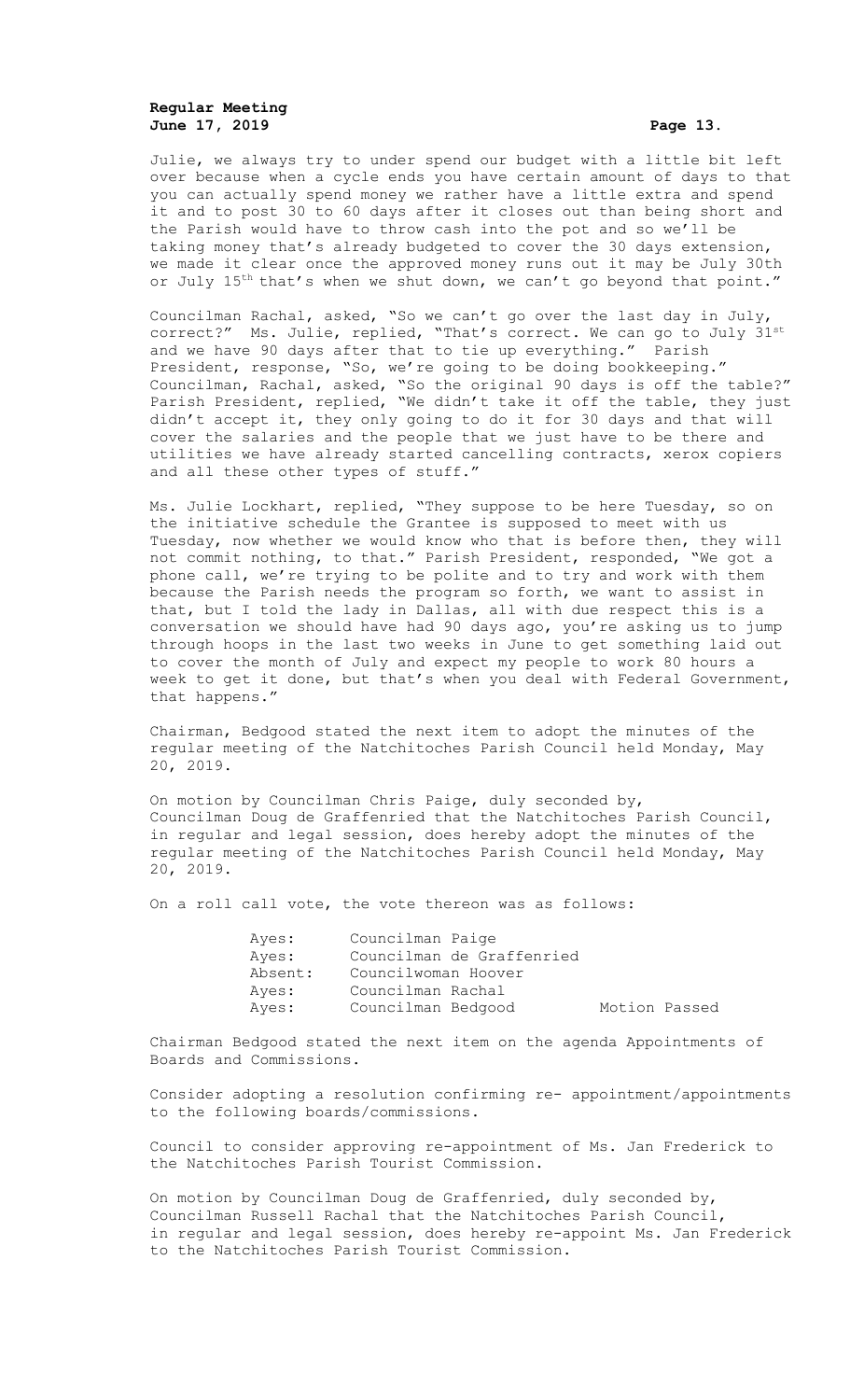# **Regular Meeting June 17, 2019 Page 13.**

Julie, we always try to under spend our budget with a little bit left over because when a cycle ends you have certain amount of days to that you can actually spend money we rather have a little extra and spend it and to post 30 to 60 days after it closes out than being short and the Parish would have to throw cash into the pot and so we'll be taking money that's already budgeted to cover the 30 days extension, we made it clear once the approved money runs out it may be July 30th or July 15<sup>th</sup> that's when we shut down, we can't go beyond that point."

Councilman Rachal, asked, "So we can't go over the last day in July, correct?" Ms. Julie, replied, "That's correct. We can go to July 31st and we have 90 days after that to tie up everything." Parish President, response, "So, we're going to be doing bookkeeping." Councilman, Rachal, asked, "So the original 90 days is off the table?" Parish President, replied, "We didn't take it off the table, they just didn't accept it, they only going to do it for 30 days and that will cover the salaries and the people that we just have to be there and utilities we have already started cancelling contracts, xerox copiers and all these other types of stuff."

Ms. Julie Lockhart, replied, "They suppose to be here Tuesday, so on the initiative schedule the Grantee is supposed to meet with us Tuesday, now whether we would know who that is before then, they will not commit nothing, to that." Parish President, responded, "We got a phone call, we're trying to be polite and to try and work with them because the Parish needs the program so forth, we want to assist in that, but I told the lady in Dallas, all with due respect this is a conversation we should have had 90 days ago, you're asking us to jump through hoops in the last two weeks in June to get something laid out to cover the month of July and expect my people to work 80 hours a week to get it done, but that's when you deal with Federal Government, that happens."

Chairman, Bedgood stated the next item to adopt the minutes of the regular meeting of the Natchitoches Parish Council held Monday, May 20, 2019.

On motion by Councilman Chris Paige, duly seconded by, Councilman Doug de Graffenried that the Natchitoches Parish Council, in regular and legal session, does hereby adopt the minutes of the regular meeting of the Natchitoches Parish Council held Monday, May 20, 2019.

On a roll call vote, the vote thereon was as follows:

| Ayes:   | Councilman Paige          |               |  |
|---------|---------------------------|---------------|--|
| Ayes:   | Councilman de Graffenried |               |  |
| Absent: | Councilwoman Hoover       |               |  |
| Ayes:   | Councilman Rachal         |               |  |
| Ayes:   | Councilman Bedgood        | Motion Passed |  |

Chairman Bedgood stated the next item on the agenda Appointments of Boards and Commissions.

Consider adopting a resolution confirming re- appointment/appointments to the following boards/commissions.

Council to consider approving re-appointment of Ms. Jan Frederick to the Natchitoches Parish Tourist Commission.

On motion by Councilman Doug de Graffenried, duly seconded by, Councilman Russell Rachal that the Natchitoches Parish Council, in regular and legal session, does hereby re-appoint Ms. Jan Frederick to the Natchitoches Parish Tourist Commission.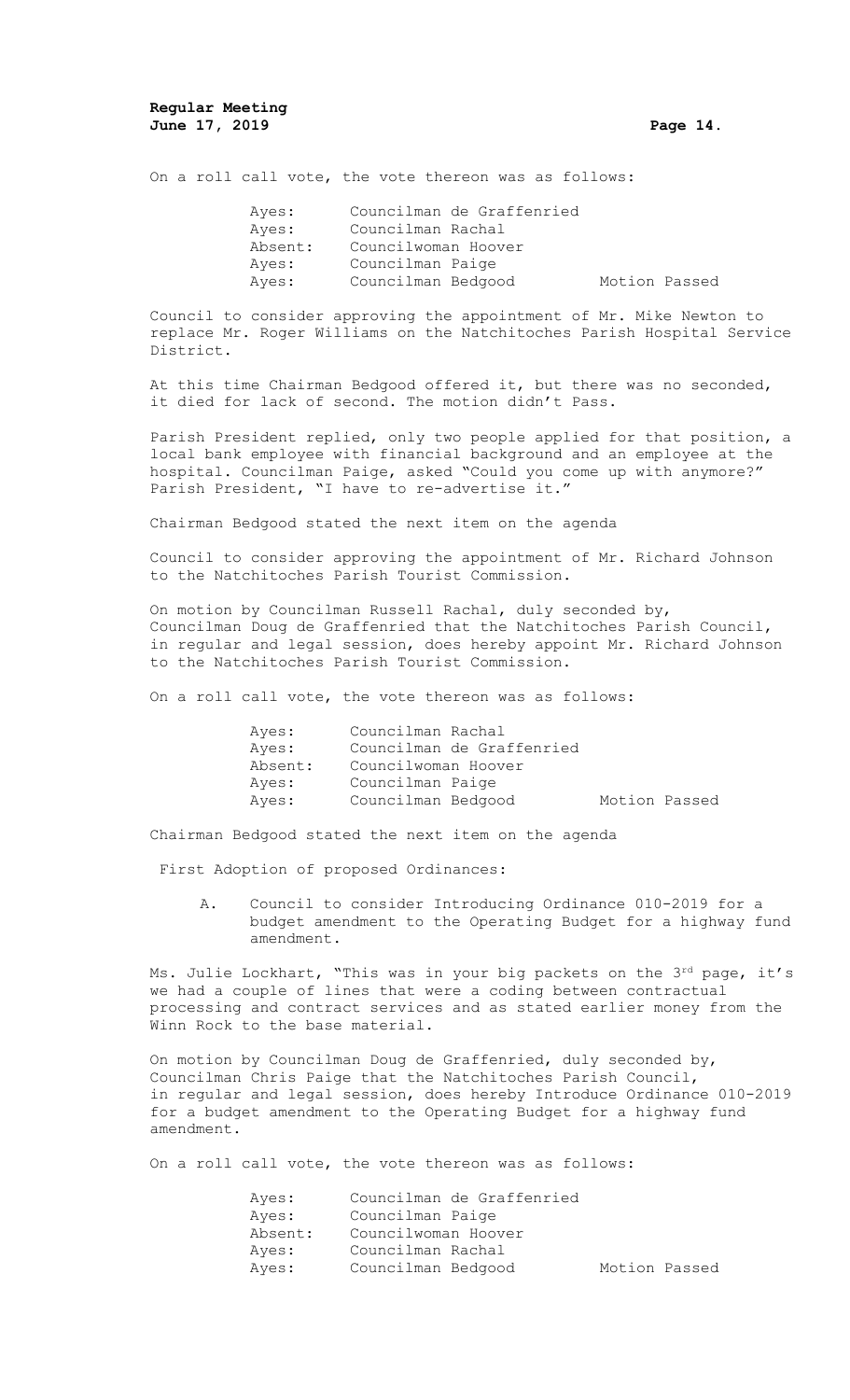On a roll call vote, the vote thereon was as follows:

| Ayes:   | Councilman de Graffenried |               |  |
|---------|---------------------------|---------------|--|
| Aves:   | Councilman Rachal         |               |  |
| Absent: | Councilwoman Hoover       |               |  |
| Ayes:   | Councilman Paige          |               |  |
| Ayes:   | Councilman Bedgood        | Motion Passed |  |

Council to consider approving the appointment of Mr. Mike Newton to replace Mr. Roger Williams on the Natchitoches Parish Hospital Service District.

At this time Chairman Bedgood offered it, but there was no seconded, it died for lack of second. The motion didn't Pass.

Parish President replied, only two people applied for that position, a local bank employee with financial background and an employee at the hospital. Councilman Paige, asked "Could you come up with anymore?" Parish President, "I have to re-advertise it."

Chairman Bedgood stated the next item on the agenda

Council to consider approving the appointment of Mr. Richard Johnson to the Natchitoches Parish Tourist Commission.

On motion by Councilman Russell Rachal, duly seconded by, Councilman Doug de Graffenried that the Natchitoches Parish Council, in regular and legal session, does hereby appoint Mr. Richard Johnson to the Natchitoches Parish Tourist Commission.

On a roll call vote, the vote thereon was as follows:

| Ayes:   | Councilman Rachal         |               |  |
|---------|---------------------------|---------------|--|
| Ayes:   | Councilman de Graffenried |               |  |
| Absent: | Councilwoman Hoover       |               |  |
| Ayes:   | Councilman Paige          |               |  |
| Ayes:   | Councilman Bedgood        | Motion Passed |  |

Chairman Bedgood stated the next item on the agenda

First Adoption of proposed Ordinances:

A. Council to consider Introducing Ordinance 010-2019 for a budget amendment to the Operating Budget for a highway fund amendment.

Ms. Julie Lockhart, "This was in your big packets on the 3rd page, it's we had a couple of lines that were a coding between contractual processing and contract services and as stated earlier money from the Winn Rock to the base material.

On motion by Councilman Doug de Graffenried, duly seconded by, Councilman Chris Paige that the Natchitoches Parish Council, in regular and legal session, does hereby Introduce Ordinance 010-2019 for a budget amendment to the Operating Budget for a highway fund amendment.

On a roll call vote, the vote thereon was as follows:

| Ayes:   | Councilman de Graffenried |               |  |
|---------|---------------------------|---------------|--|
| Aves:   | Councilman Paige          |               |  |
| Absent: | Councilwoman Hoover       |               |  |
| Aves:   | Councilman Rachal         |               |  |
| Ayes:   | Councilman Bedgood        | Motion Passed |  |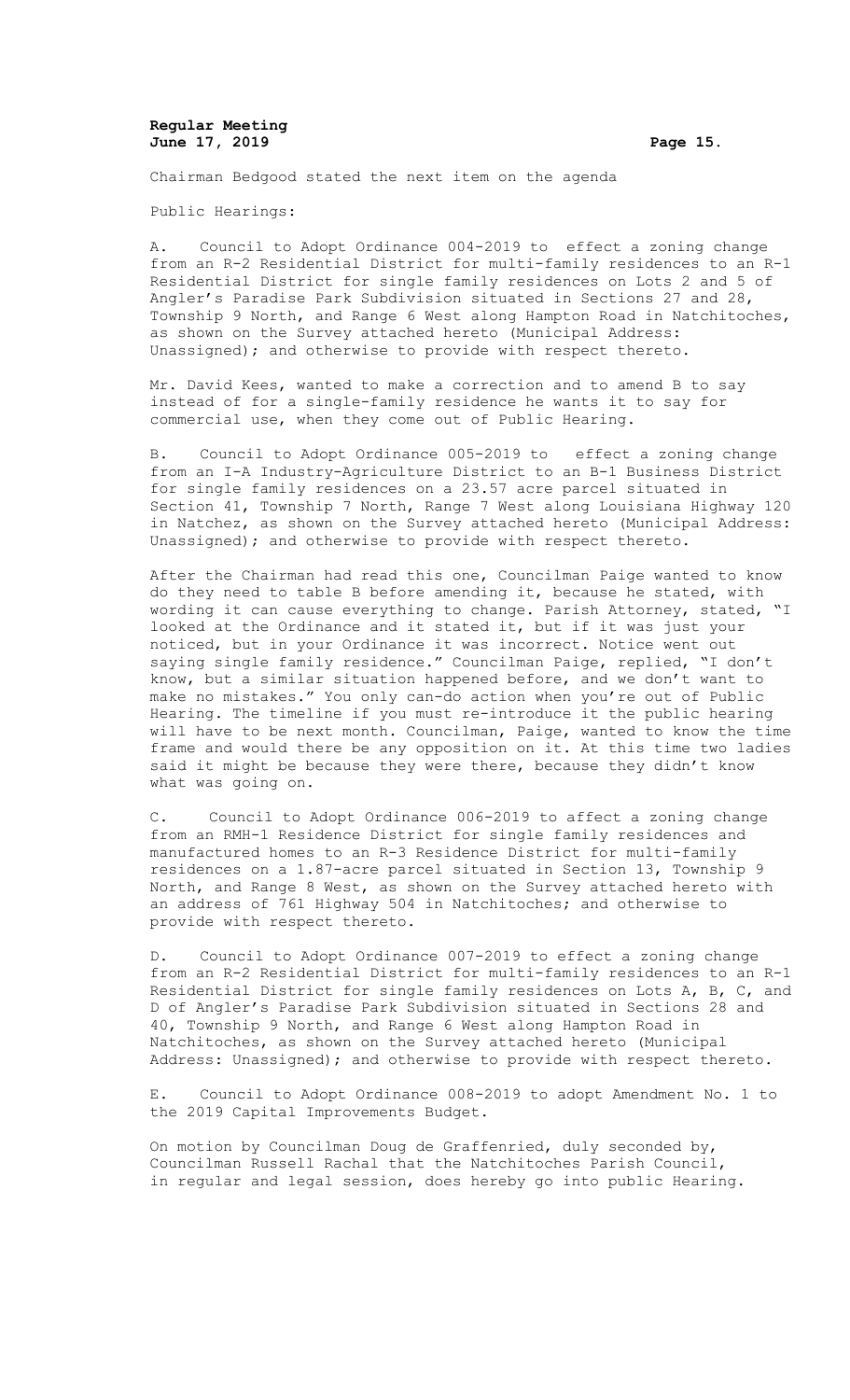### **Regular Meeting June 17, 2019 Page 15.**

Chairman Bedgood stated the next item on the agenda

Public Hearings:

A. Council to Adopt Ordinance 004-2019 to effect a zoning change from an R-2 Residential District for multi-family residences to an R-1 Residential District for single family residences on Lots 2 and 5 of Angler's Paradise Park Subdivision situated in Sections 27 and 28, Township 9 North, and Range 6 West along Hampton Road in Natchitoches, as shown on the Survey attached hereto (Municipal Address: Unassigned); and otherwise to provide with respect thereto.

Mr. David Kees, wanted to make a correction and to amend B to say instead of for a single-family residence he wants it to say for commercial use, when they come out of Public Hearing.

B. Council to Adopt Ordinance 005-2019 to effect a zoning change from an I-A Industry-Agriculture District to an B-1 Business District for single family residences on a 23.57 acre parcel situated in Section 41, Township 7 North, Range 7 West along Louisiana Highway 120 in Natchez, as shown on the Survey attached hereto (Municipal Address: Unassigned); and otherwise to provide with respect thereto.

After the Chairman had read this one, Councilman Paige wanted to know do they need to table B before amending it, because he stated, with wording it can cause everything to change. Parish Attorney, stated, "I looked at the Ordinance and it stated it, but if it was just your noticed, but in your Ordinance it was incorrect. Notice went out saying single family residence." Councilman Paige, replied, "I don't know, but a similar situation happened before, and we don't want to make no mistakes." You only can-do action when you're out of Public Hearing. The timeline if you must re-introduce it the public hearing will have to be next month. Councilman, Paige, wanted to know the time frame and would there be any opposition on it. At this time two ladies said it might be because they were there, because they didn't know what was going on.

C. Council to Adopt Ordinance 006-2019 to affect a zoning change from an RMH-1 Residence District for single family residences and manufactured homes to an R-3 Residence District for multi-family residences on a 1.87-acre parcel situated in Section 13, Township 9 North, and Range 8 West, as shown on the Survey attached hereto with an address of 761 Highway 504 in Natchitoches; and otherwise to provide with respect thereto.

D. Council to Adopt Ordinance 007-2019 to effect a zoning change from an R-2 Residential District for multi-family residences to an R-1 Residential District for single family residences on Lots A, B, C, and D of Angler's Paradise Park Subdivision situated in Sections 28 and 40, Township 9 North, and Range 6 West along Hampton Road in Natchitoches, as shown on the Survey attached hereto (Municipal Address: Unassigned); and otherwise to provide with respect thereto.

E. Council to Adopt Ordinance 008-2019 to adopt Amendment No. 1 to the 2019 Capital Improvements Budget.

On motion by Councilman Doug de Graffenried, duly seconded by, Councilman Russell Rachal that the Natchitoches Parish Council, in regular and legal session, does hereby go into public Hearing.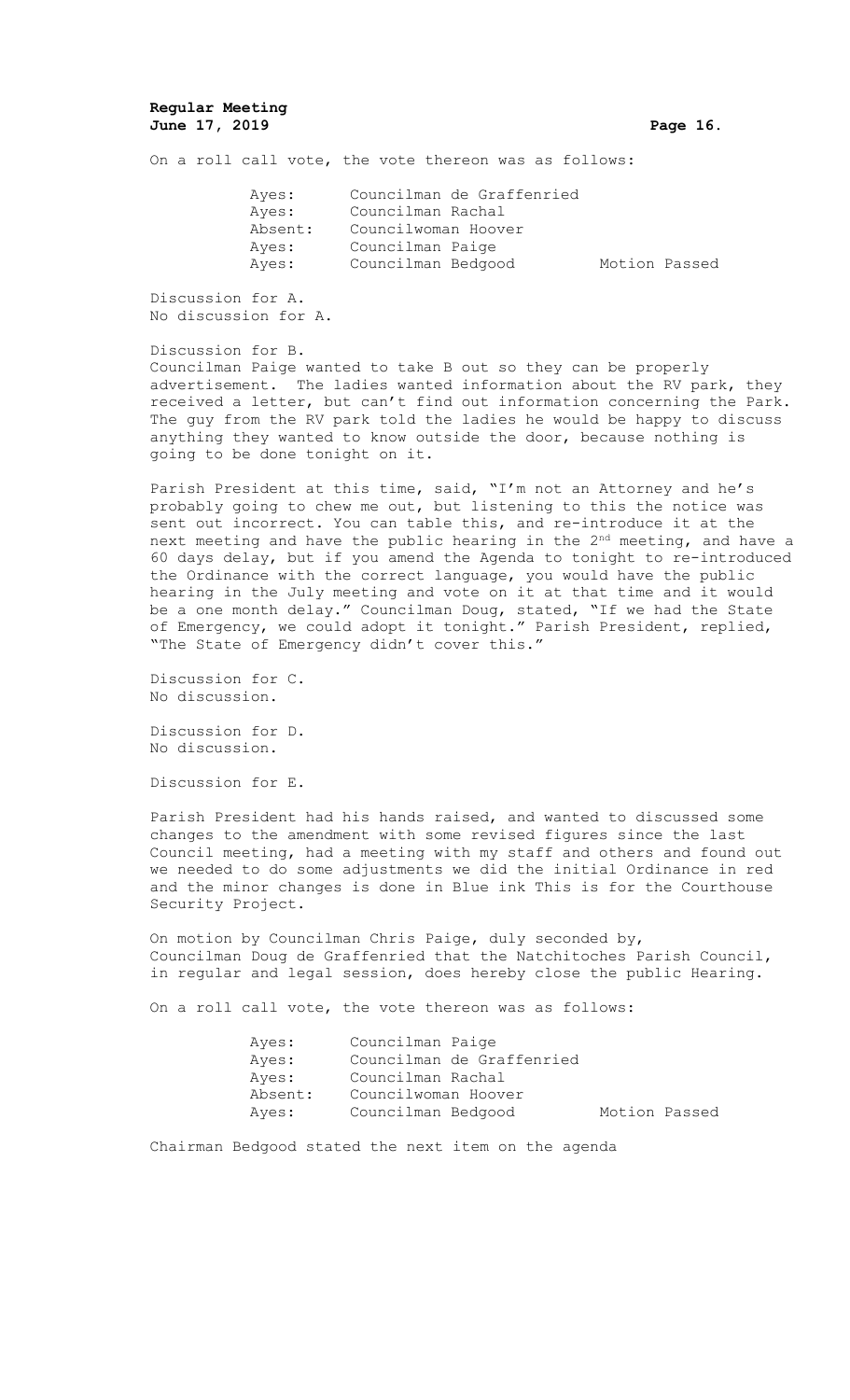## **Regular Meeting June 17, 2019 Page 16.**

On a roll call vote, the vote thereon was as follows:

| Ayes:   | Councilman de Graffenried |               |
|---------|---------------------------|---------------|
| Ayes:   | Councilman Rachal         |               |
| Absent: | Councilwoman Hoover       |               |
| Ayes:   | Councilman Paige          |               |
| Ayes:   | Councilman Bedgood        | Motion Passed |

Discussion for A. No discussion for A.

Discussion for B.

Councilman Paige wanted to take B out so they can be properly advertisement. The ladies wanted information about the RV park, they received a letter, but can't find out information concerning the Park. The guy from the RV park told the ladies he would be happy to discuss anything they wanted to know outside the door, because nothing is going to be done tonight on it.

Parish President at this time, said, "I'm not an Attorney and he's probably going to chew me out, but listening to this the notice was sent out incorrect. You can table this, and re-introduce it at the next meeting and have the public hearing in the 2<sup>nd</sup> meeting, and have a 60 days delay, but if you amend the Agenda to tonight to re-introduced the Ordinance with the correct language, you would have the public hearing in the July meeting and vote on it at that time and it would be a one month delay." Councilman Doug, stated, "If we had the State of Emergency, we could adopt it tonight." Parish President, replied, "The State of Emergency didn't cover this."

Discussion for C. No discussion.

Discussion for D. No discussion.

Discussion for E.

Parish President had his hands raised, and wanted to discussed some changes to the amendment with some revised figures since the last Council meeting, had a meeting with my staff and others and found out we needed to do some adjustments we did the initial Ordinance in red and the minor changes is done in Blue ink This is for the Courthouse Security Project.

On motion by Councilman Chris Paige, duly seconded by, Councilman Doug de Graffenried that the Natchitoches Parish Council, in regular and legal session, does hereby close the public Hearing.

On a roll call vote, the vote thereon was as follows:

| Ayes:   | Councilman Paige          |               |
|---------|---------------------------|---------------|
| Ayes:   | Councilman de Graffenried |               |
| Aves:   | Councilman Rachal         |               |
| Absent: | Councilwoman Hoover       |               |
| Aves:   | Councilman Bedgood        | Motion Passed |

Chairman Bedgood stated the next item on the agenda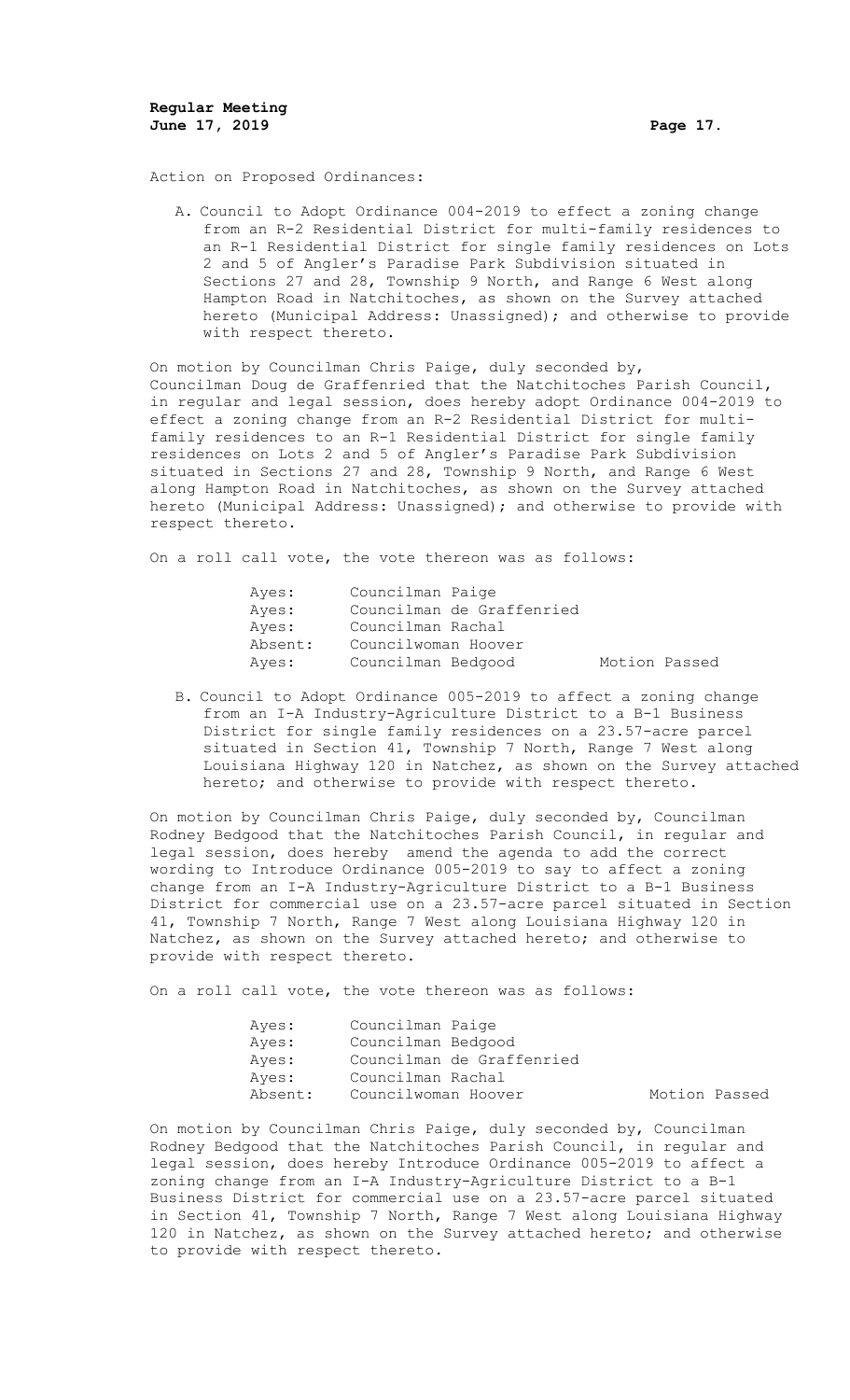Action on Proposed Ordinances:

A. Council to Adopt Ordinance 004-2019 to effect a zoning change from an R-2 Residential District for multi-family residences to an R-1 Residential District for single family residences on Lots 2 and 5 of Angler's Paradise Park Subdivision situated in Sections 27 and 28, Township 9 North, and Range 6 West along Hampton Road in Natchitoches, as shown on the Survey attached hereto (Municipal Address: Unassigned); and otherwise to provide with respect thereto.

On motion by Councilman Chris Paige, duly seconded by, Councilman Doug de Graffenried that the Natchitoches Parish Council, in regular and legal session, does hereby adopt Ordinance 004-2019 to effect a zoning change from an R-2 Residential District for multifamily residences to an R-1 Residential District for single family residences on Lots 2 and 5 of Angler's Paradise Park Subdivision situated in Sections 27 and 28, Township 9 North, and Range 6 West along Hampton Road in Natchitoches, as shown on the Survey attached hereto (Municipal Address: Unassigned); and otherwise to provide with respect thereto.

On a roll call vote, the vote thereon was as follows:

| Ayes:   | Councilman Paige          |               |
|---------|---------------------------|---------------|
| Ayes:   | Councilman de Graffenried |               |
| Aves:   | Councilman Rachal         |               |
| Absent: | Councilwoman Hoover       |               |
| Aves:   | Councilman Bedgood        | Motion Passed |

B. Council to Adopt Ordinance 005-2019 to affect a zoning change from an I-A Industry-Agriculture District to a B-1 Business District for single family residences on a 23.57-acre parcel situated in Section 41, Township 7 North, Range 7 West along Louisiana Highway 120 in Natchez, as shown on the Survey attached hereto; and otherwise to provide with respect thereto.

On motion by Councilman Chris Paige, duly seconded by, Councilman Rodney Bedgood that the Natchitoches Parish Council, in regular and legal session, does hereby amend the agenda to add the correct wording to Introduce Ordinance 005-2019 to say to affect a zoning change from an I-A Industry-Agriculture District to a B-1 Business District for commercial use on a 23.57-acre parcel situated in Section 41, Township 7 North, Range 7 West along Louisiana Highway 120 in Natchez, as shown on the Survey attached hereto; and otherwise to provide with respect thereto.

On a roll call vote, the vote thereon was as follows:

| Ayes:   | Councilman Paige          |               |
|---------|---------------------------|---------------|
| Aves:   | Councilman Bedgood        |               |
| Aves:   | Councilman de Graffenried |               |
| Aves:   | Councilman Rachal         |               |
| Absent: | Councilwoman Hoover       | Motion Passed |

On motion by Councilman Chris Paige, duly seconded by, Councilman Rodney Bedgood that the Natchitoches Parish Council, in regular and legal session, does hereby Introduce Ordinance 005-2019 to affect a zoning change from an I-A Industry-Agriculture District to a B-1 Business District for commercial use on a 23.57-acre parcel situated in Section 41, Township 7 North, Range 7 West along Louisiana Highway 120 in Natchez, as shown on the Survey attached hereto; and otherwise to provide with respect thereto.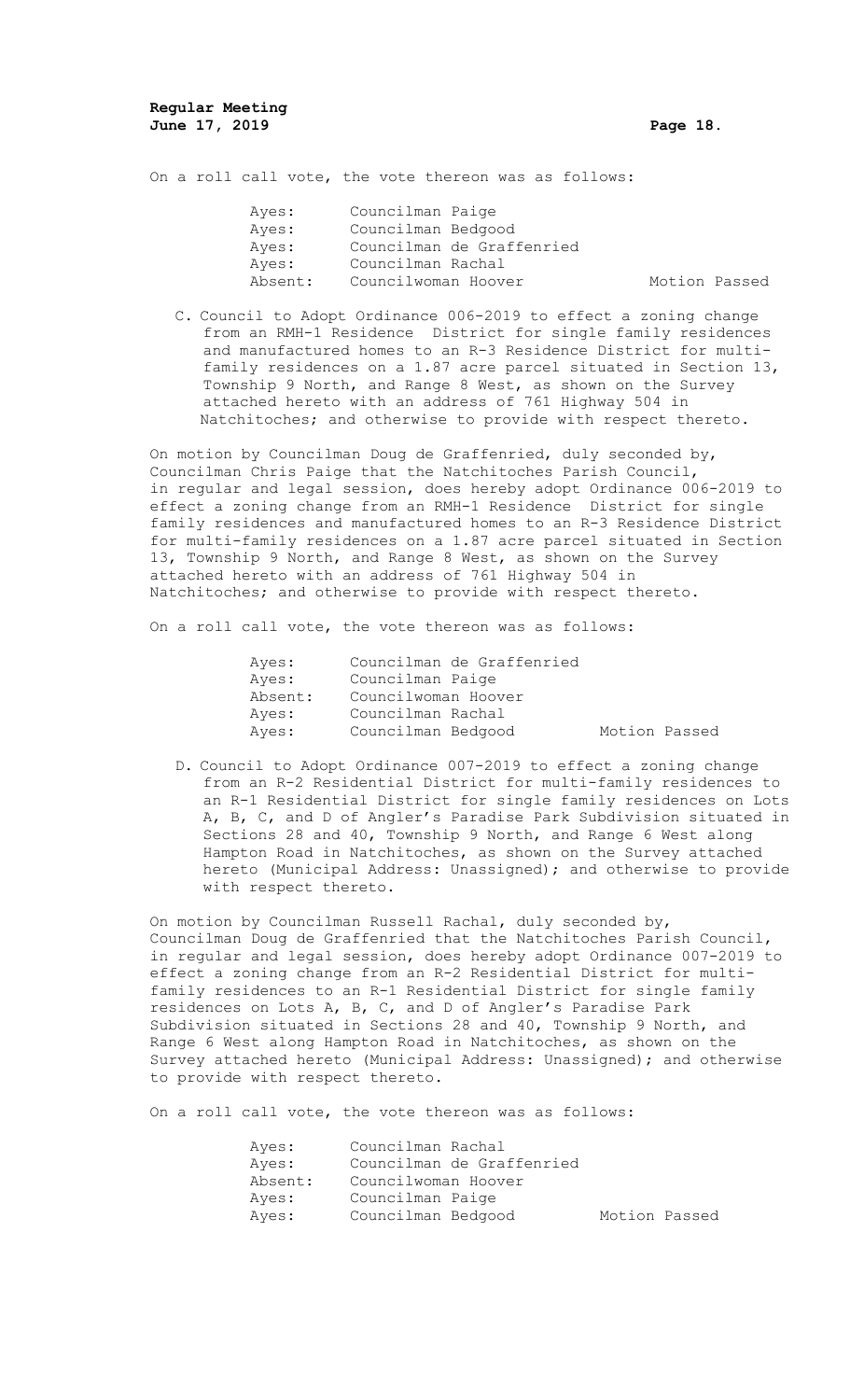On a roll call vote, the vote thereon was as follows:

| Ayes:   | Councilman Paige    |                           |               |  |
|---------|---------------------|---------------------------|---------------|--|
| Ayes:   | Councilman Bedgood  |                           |               |  |
| Ayes:   |                     | Councilman de Graffenried |               |  |
| Ayes:   | Councilman Rachal   |                           |               |  |
| Absent: | Councilwoman Hoover |                           | Motion Passed |  |

C. Council to Adopt Ordinance 006-2019 to effect a zoning change from an RMH-1 Residence District for single family residences and manufactured homes to an R-3 Residence District for multifamily residences on a 1.87 acre parcel situated in Section 13, Township 9 North, and Range 8 West, as shown on the Survey attached hereto with an address of 761 Highway 504 in Natchitoches; and otherwise to provide with respect thereto.

On motion by Councilman Doug de Graffenried, duly seconded by, Councilman Chris Paige that the Natchitoches Parish Council, in regular and legal session, does hereby adopt Ordinance 006-2019 to effect a zoning change from an RMH-1 Residence District for single family residences and manufactured homes to an R-3 Residence District for multi-family residences on a 1.87 acre parcel situated in Section 13, Township 9 North, and Range 8 West, as shown on the Survey attached hereto with an address of 761 Highway 504 in Natchitoches; and otherwise to provide with respect thereto.

On a roll call vote, the vote thereon was as follows:

| Ayes:   | Councilman de Graffenried |               |  |
|---------|---------------------------|---------------|--|
| Ayes:   | Councilman Paige          |               |  |
| Absent: | Councilwoman Hoover       |               |  |
| Ayes:   | Councilman Rachal         |               |  |
| Ayes:   | Councilman Bedgood        | Motion Passed |  |

D. Council to Adopt Ordinance 007-2019 to effect a zoning change from an R-2 Residential District for multi-family residences to an R-1 Residential District for single family residences on Lots A, B, C, and D of Angler's Paradise Park Subdivision situated in Sections 28 and 40, Township 9 North, and Range 6 West along Hampton Road in Natchitoches, as shown on the Survey attached hereto (Municipal Address: Unassigned); and otherwise to provide with respect thereto.

On motion by Councilman Russell Rachal, duly seconded by, Councilman Doug de Graffenried that the Natchitoches Parish Council, in regular and legal session, does hereby adopt Ordinance 007-2019 to effect a zoning change from an R-2 Residential District for multifamily residences to an R-1 Residential District for single family residences on Lots A, B, C, and D of Angler's Paradise Park Subdivision situated in Sections 28 and 40, Township 9 North, and Range 6 West along Hampton Road in Natchitoches, as shown on the Survey attached hereto (Municipal Address: Unassigned); and otherwise to provide with respect thereto.

On a roll call vote, the vote thereon was as follows:

| Ayes:   | Councilman Rachal   |                           |               |  |
|---------|---------------------|---------------------------|---------------|--|
| Ayes:   |                     | Councilman de Graffenried |               |  |
| Absent: | Councilwoman Hoover |                           |               |  |
| Ayes:   | Councilman Paige    |                           |               |  |
| Ayes:   | Councilman Bedgood  |                           | Motion Passed |  |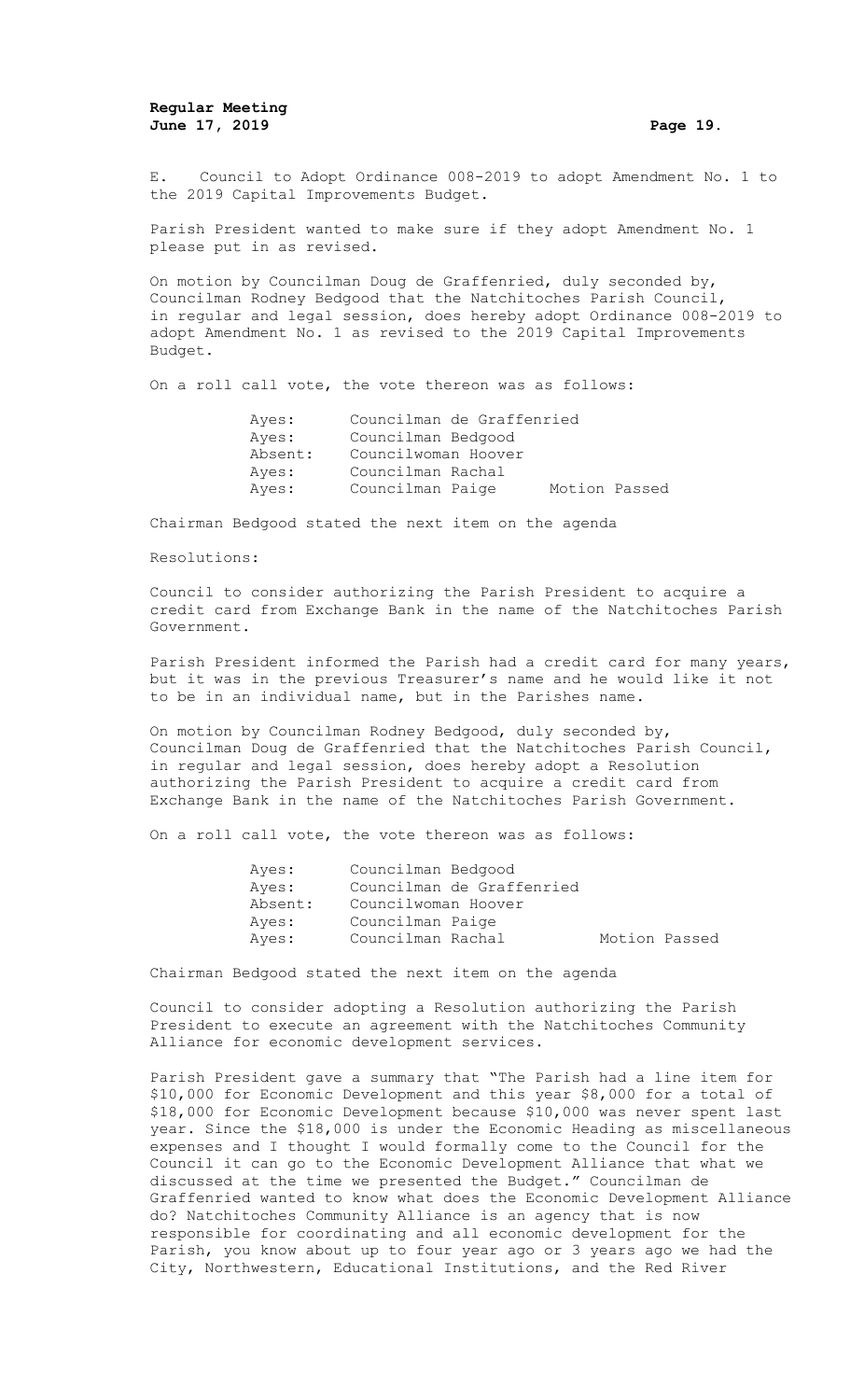E. Council to Adopt Ordinance 008-2019 to adopt Amendment No. 1 to the 2019 Capital Improvements Budget.

Parish President wanted to make sure if they adopt Amendment No. 1 please put in as revised.

On motion by Councilman Doug de Graffenried, duly seconded by, Councilman Rodney Bedgood that the Natchitoches Parish Council, in regular and legal session, does hereby adopt Ordinance 008-2019 to adopt Amendment No. 1 as revised to the 2019 Capital Improvements Budget.

On a roll call vote, the vote thereon was as follows:

| Ayes:   | Councilman de Graffenried |               |
|---------|---------------------------|---------------|
| Ayes:   | Councilman Bedgood        |               |
| Absent: | Councilwoman Hoover       |               |
| Ayes:   | Councilman Rachal         |               |
| Aves:   | Councilman Paige          | Motion Passed |

Chairman Bedgood stated the next item on the agenda

#### Resolutions:

Council to consider authorizing the Parish President to acquire a credit card from Exchange Bank in the name of the Natchitoches Parish Government.

Parish President informed the Parish had a credit card for many years, but it was in the previous Treasurer's name and he would like it not to be in an individual name, but in the Parishes name.

On motion by Councilman Rodney Bedgood, duly seconded by, Councilman Doug de Graffenried that the Natchitoches Parish Council, in regular and legal session, does hereby adopt a Resolution authorizing the Parish President to acquire a credit card from Exchange Bank in the name of the Natchitoches Parish Government.

On a roll call vote, the vote thereon was as follows:

| Ayes:   | Councilman Bedgood        |               |
|---------|---------------------------|---------------|
| Aves:   | Councilman de Graffenried |               |
| Absent: | Councilwoman Hoover       |               |
| Ayes:   | Councilman Paige          |               |
| Ayes:   | Councilman Rachal         | Motion Passed |

Chairman Bedgood stated the next item on the agenda

Council to consider adopting a Resolution authorizing the Parish President to execute an agreement with the Natchitoches Community Alliance for economic development services.

Parish President gave a summary that "The Parish had a line item for \$10,000 for Economic Development and this year \$8,000 for a total of \$18,000 for Economic Development because \$10,000 was never spent last year. Since the \$18,000 is under the Economic Heading as miscellaneous expenses and I thought I would formally come to the Council for the Council it can go to the Economic Development Alliance that what we discussed at the time we presented the Budget." Councilman de Graffenried wanted to know what does the Economic Development Alliance do? Natchitoches Community Alliance is an agency that is now responsible for coordinating and all economic development for the Parish, you know about up to four year ago or 3 years ago we had the City, Northwestern, Educational Institutions, and the Red River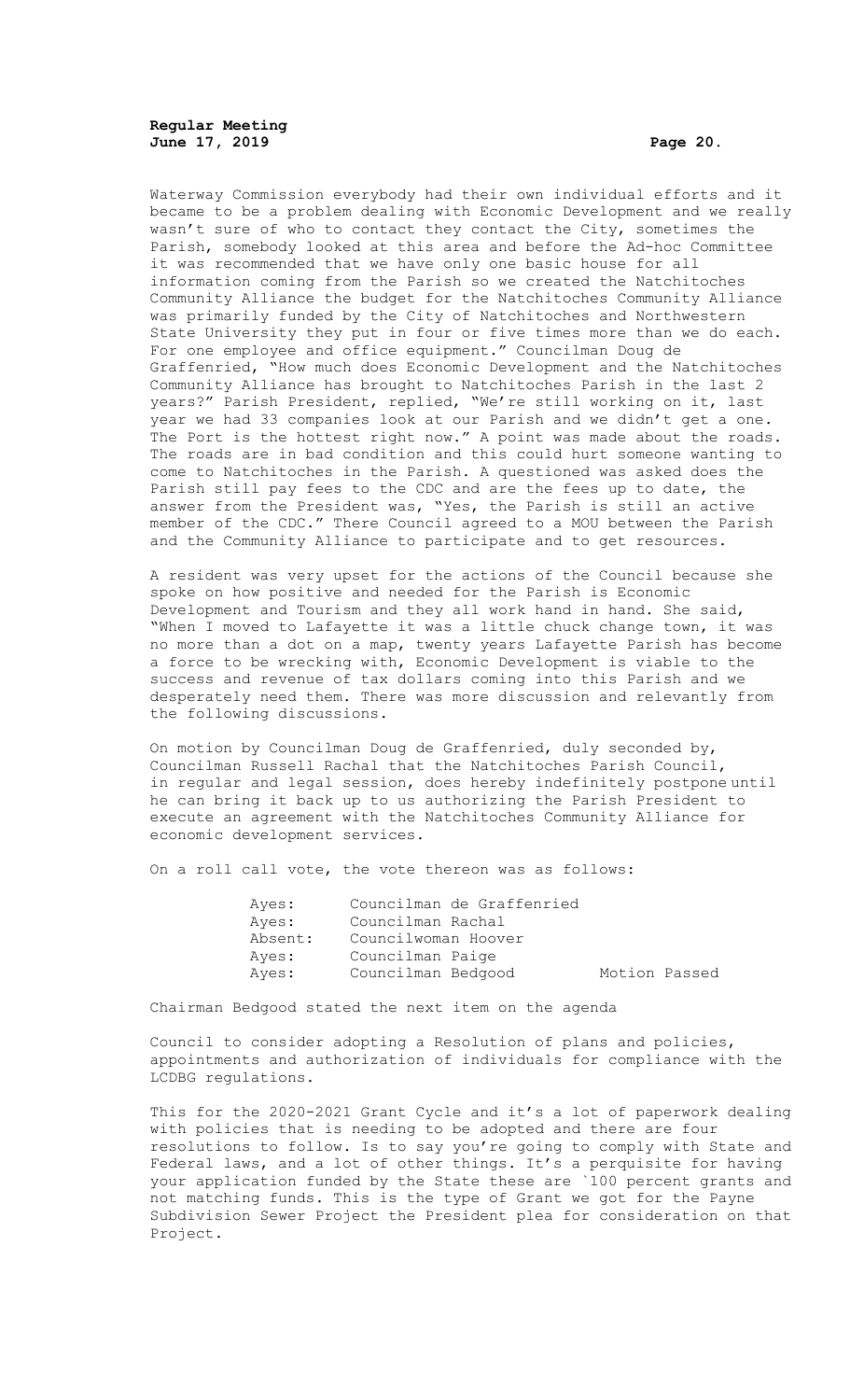**Regular Meeting June 17, 2019 Page 20.**

Waterway Commission everybody had their own individual efforts and it became to be a problem dealing with Economic Development and we really wasn't sure of who to contact they contact the City, sometimes the Parish, somebody looked at this area and before the Ad-hoc Committee it was recommended that we have only one basic house for all information coming from the Parish so we created the Natchitoches Community Alliance the budget for the Natchitoches Community Alliance was primarily funded by the City of Natchitoches and Northwestern State University they put in four or five times more than we do each. For one employee and office equipment." Councilman Doug de Graffenried, "How much does Economic Development and the Natchitoches Community Alliance has brought to Natchitoches Parish in the last 2 years?" Parish President, replied, "We're still working on it, last year we had 33 companies look at our Parish and we didn't get a one. The Port is the hottest right now." A point was made about the roads. The roads are in bad condition and this could hurt someone wanting to come to Natchitoches in the Parish. A questioned was asked does the Parish still pay fees to the CDC and are the fees up to date, the answer from the President was, "Yes, the Parish is still an active member of the CDC." There Council agreed to a MOU between the Parish and the Community Alliance to participate and to get resources.

A resident was very upset for the actions of the Council because she spoke on how positive and needed for the Parish is Economic Development and Tourism and they all work hand in hand. She said, "When I moved to Lafayette it was a little chuck change town, it was no more than a dot on a map, twenty years Lafayette Parish has become a force to be wrecking with, Economic Development is viable to the success and revenue of tax dollars coming into this Parish and we desperately need them. There was more discussion and relevantly from the following discussions.

On motion by Councilman Doug de Graffenried, duly seconded by, Councilman Russell Rachal that the Natchitoches Parish Council, in regular and legal session, does hereby indefinitely postpone until he can bring it back up to us authorizing the Parish President to execute an agreement with the Natchitoches Community Alliance for economic development services.

On a roll call vote, the vote thereon was as follows:

| Ayes:   | Councilman de Graffenried |               |  |
|---------|---------------------------|---------------|--|
| Ayes:   | Councilman Rachal         |               |  |
| Absent: | Councilwoman Hoover       |               |  |
| Ayes:   | Councilman Paige          |               |  |
| Ayes:   | Councilman Bedgood        | Motion Passed |  |

Chairman Bedgood stated the next item on the agenda

Council to consider adopting a Resolution of plans and policies, appointments and authorization of individuals for compliance with the LCDBG regulations.

This for the 2020-2021 Grant Cycle and it's a lot of paperwork dealing with policies that is needing to be adopted and there are four resolutions to follow. Is to say you're going to comply with State and Federal laws, and a lot of other things. It's a perquisite for having your application funded by the State these are `100 percent grants and not matching funds. This is the type of Grant we got for the Payne Subdivision Sewer Project the President plea for consideration on that Project.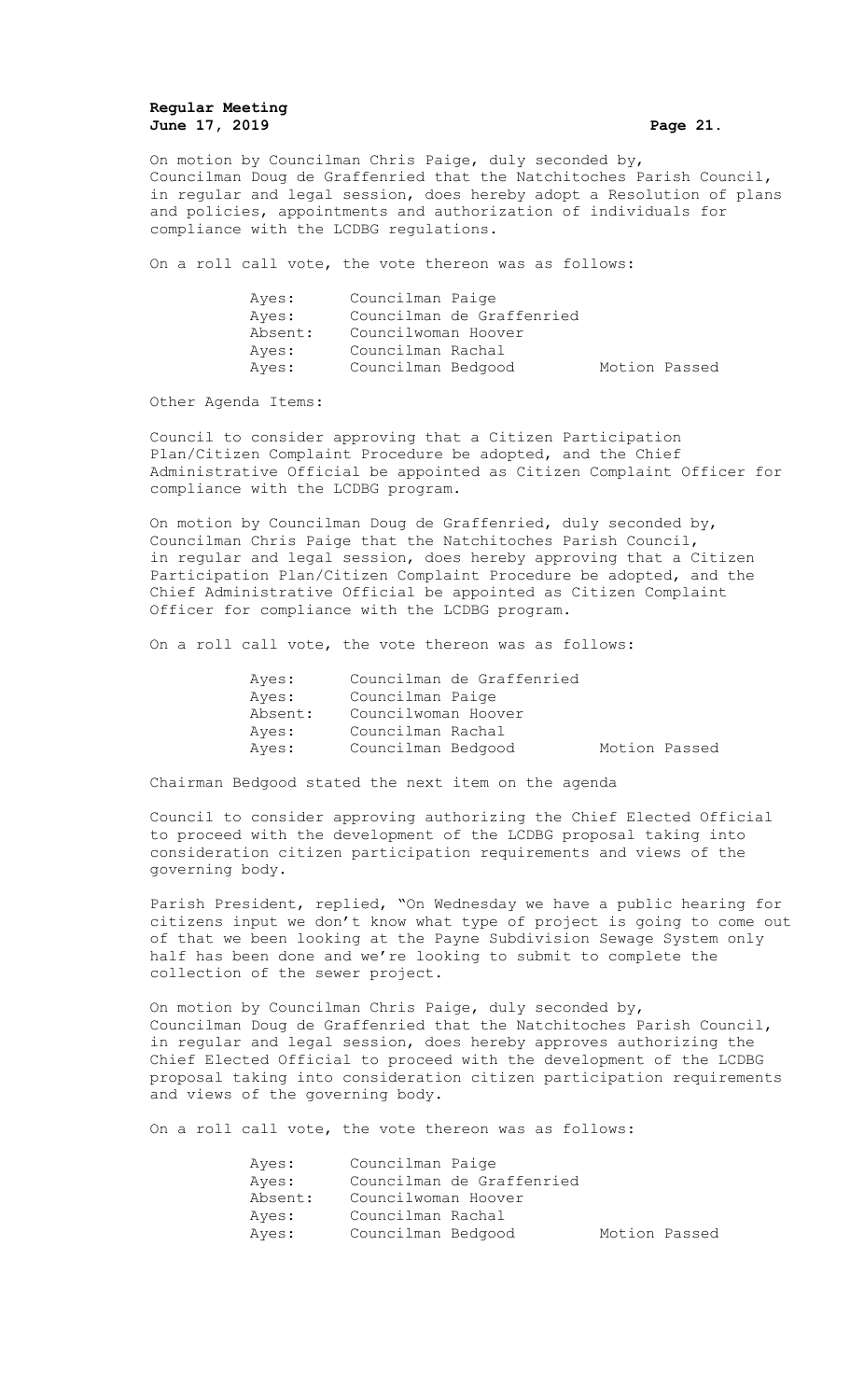# **Regular Meeting June 17, 2019 Page 21.**

On motion by Councilman Chris Paige, duly seconded by, Councilman Doug de Graffenried that the Natchitoches Parish Council, in regular and legal session, does hereby adopt a Resolution of plans and policies, appointments and authorization of individuals for compliance with the LCDBG regulations.

On a roll call vote, the vote thereon was as follows:

| Ayes:   | Councilman Paige          |               |  |
|---------|---------------------------|---------------|--|
| Ayes:   | Councilman de Graffenried |               |  |
| Absent: | Councilwoman Hoover       |               |  |
| Ayes:   | Councilman Rachal         |               |  |
| Ayes:   | Councilman Bedgood        | Motion Passed |  |

Other Agenda Items:

Council to consider approving that a Citizen Participation Plan/Citizen Complaint Procedure be adopted, and the Chief Administrative Official be appointed as Citizen Complaint Officer for compliance with the LCDBG program.

On motion by Councilman Doug de Graffenried, duly seconded by, Councilman Chris Paige that the Natchitoches Parish Council, in regular and legal session, does hereby approving that a Citizen Participation Plan/Citizen Complaint Procedure be adopted, and the Chief Administrative Official be appointed as Citizen Complaint Officer for compliance with the LCDBG program.

On a roll call vote, the vote thereon was as follows:

| Ayes:   | Councilman de Graffenried |               |  |
|---------|---------------------------|---------------|--|
| Ayes:   | Councilman Paige          |               |  |
| Absent: | Councilwoman Hoover       |               |  |
| Ayes:   | Councilman Rachal         |               |  |
| Ayes:   | Councilman Bedgood        | Motion Passed |  |

Chairman Bedgood stated the next item on the agenda

Council to consider approving authorizing the Chief Elected Official to proceed with the development of the LCDBG proposal taking into consideration citizen participation requirements and views of the governing body.

Parish President, replied, "On Wednesday we have a public hearing for citizens input we don't know what type of project is going to come out of that we been looking at the Payne Subdivision Sewage System only half has been done and we're looking to submit to complete the collection of the sewer project.

On motion by Councilman Chris Paige, duly seconded by, Councilman Doug de Graffenried that the Natchitoches Parish Council, in regular and legal session, does hereby approves authorizing the Chief Elected Official to proceed with the development of the LCDBG proposal taking into consideration citizen participation requirements and views of the governing body.

On a roll call vote, the vote thereon was as follows:

| Ayes:   | Councilman Paige          |               |  |
|---------|---------------------------|---------------|--|
| Ayes:   | Councilman de Graffenried |               |  |
| Absent: | Councilwoman Hoover       |               |  |
| Ayes:   | Councilman Rachal         |               |  |
| Ayes:   | Councilman Bedgood        | Motion Passed |  |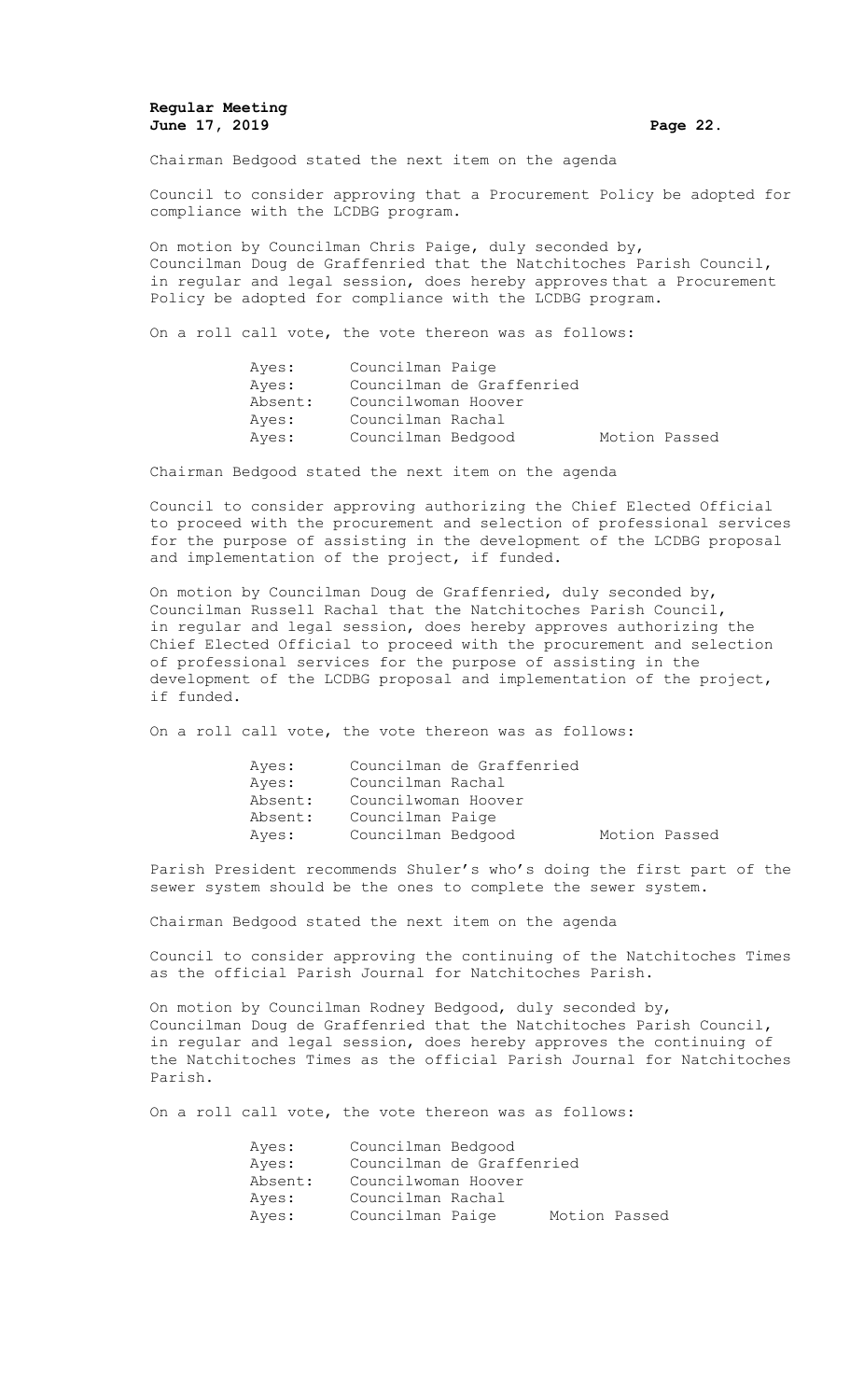# **Regular Meeting June 17, 2019 Page 22.**

Chairman Bedgood stated the next item on the agenda

Council to consider approving that a Procurement Policy be adopted for compliance with the LCDBG program.

On motion by Councilman Chris Paige, duly seconded by, Councilman Doug de Graffenried that the Natchitoches Parish Council, in regular and legal session, does hereby approves that a Procurement Policy be adopted for compliance with the LCDBG program.

On a roll call vote, the vote thereon was as follows:

| Ayes:   | Councilman Paige          |               |  |
|---------|---------------------------|---------------|--|
| Ayes:   | Councilman de Graffenried |               |  |
| Absent: | Councilwoman Hoover       |               |  |
| Ayes:   | Councilman Rachal         |               |  |
| Ayes:   | Councilman Bedgood        | Motion Passed |  |

Chairman Bedgood stated the next item on the agenda

Council to consider approving authorizing the Chief Elected Official to proceed with the procurement and selection of professional services for the purpose of assisting in the development of the LCDBG proposal and implementation of the project, if funded.

On motion by Councilman Doug de Graffenried, duly seconded by, Councilman Russell Rachal that the Natchitoches Parish Council, in regular and legal session, does hereby approves authorizing the Chief Elected Official to proceed with the procurement and selection of professional services for the purpose of assisting in the development of the LCDBG proposal and implementation of the project, if funded.

On a roll call vote, the vote thereon was as follows:

| Ayes:   | Councilman de Graffenried |               |
|---------|---------------------------|---------------|
| Ayes:   | Councilman Rachal         |               |
| Absent: | Councilwoman Hoover       |               |
| Absent: | Councilman Paige          |               |
| Aves:   | Councilman Bedgood        | Motion Passed |

Parish President recommends Shuler's who's doing the first part of the sewer system should be the ones to complete the sewer system.

Chairman Bedgood stated the next item on the agenda

Council to consider approving the continuing of the Natchitoches Times as the official Parish Journal for Natchitoches Parish.

On motion by Councilman Rodney Bedgood, duly seconded by, Councilman Doug de Graffenried that the Natchitoches Parish Council, in regular and legal session, does hereby approves the continuing of the Natchitoches Times as the official Parish Journal for Natchitoches Parish.

On a roll call vote, the vote thereon was as follows:

| Ayes:   | Councilman Bedgood        |               |  |
|---------|---------------------------|---------------|--|
| Ayes:   | Councilman de Graffenried |               |  |
| Absent: | Councilwoman Hoover       |               |  |
| Ayes:   | Councilman Rachal         |               |  |
| Ayes:   | Councilman Paige          | Motion Passed |  |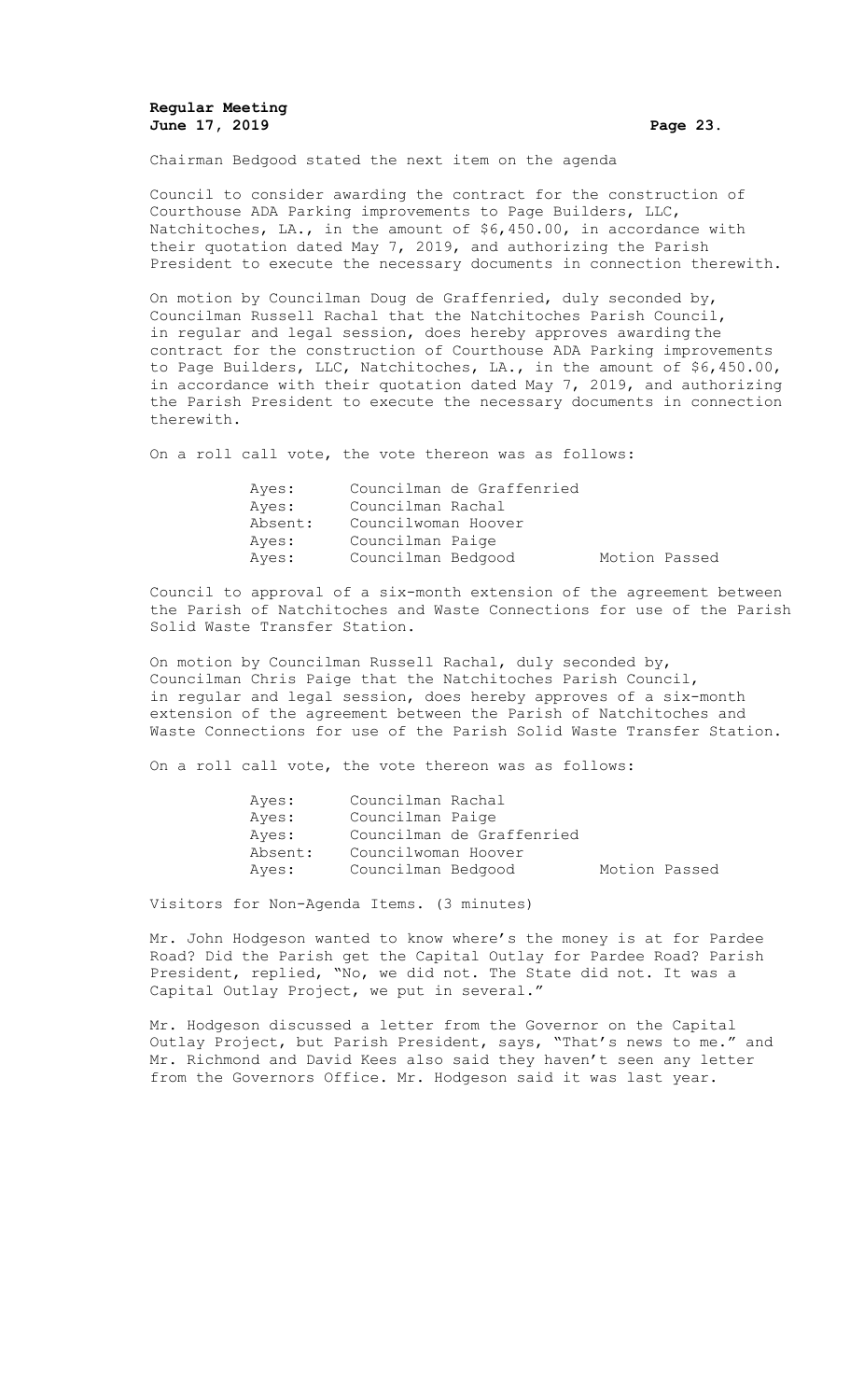# **Regular Meeting June 17, 2019 Page 23.**

Chairman Bedgood stated the next item on the agenda

Council to consider awarding the contract for the construction of Courthouse ADA Parking improvements to Page Builders, LLC, Natchitoches, LA., in the amount of \$6,450.00, in accordance with their quotation dated May 7, 2019, and authorizing the Parish President to execute the necessary documents in connection therewith.

On motion by Councilman Doug de Graffenried, duly seconded by, Councilman Russell Rachal that the Natchitoches Parish Council, in regular and legal session, does hereby approves awarding the contract for the construction of Courthouse ADA Parking improvements to Page Builders, LLC, Natchitoches, LA., in the amount of \$6,450.00, in accordance with their quotation dated May 7, 2019, and authorizing the Parish President to execute the necessary documents in connection therewith.

On a roll call vote, the vote thereon was as follows:

| Ayes:   | Councilman de Graffenried |               |
|---------|---------------------------|---------------|
| Aves:   | Councilman Rachal         |               |
| Absent: | Councilwoman Hoover       |               |
| Aves:   | Councilman Paige          |               |
| Ayes:   | Councilman Bedgood        | Motion Passed |

Council to approval of a six-month extension of the agreement between the Parish of Natchitoches and Waste Connections for use of the Parish Solid Waste Transfer Station.

On motion by Councilman Russell Rachal, duly seconded by, Councilman Chris Paige that the Natchitoches Parish Council, in regular and legal session, does hereby approves of a six-month extension of the agreement between the Parish of Natchitoches and Waste Connections for use of the Parish Solid Waste Transfer Station.

On a roll call vote, the vote thereon was as follows:

| Ayes:   | Councilman Rachal   |                           |               |  |
|---------|---------------------|---------------------------|---------------|--|
| Ayes:   | Councilman Paige    |                           |               |  |
| Ayes:   |                     | Councilman de Graffenried |               |  |
| Absent: | Councilwoman Hoover |                           |               |  |
| Ayes:   | Councilman Bedgood  |                           | Motion Passed |  |

Visitors for Non-Agenda Items. (3 minutes)

Mr. John Hodgeson wanted to know where's the money is at for Pardee Road? Did the Parish get the Capital Outlay for Pardee Road? Parish President, replied, "No, we did not. The State did not. It was a Capital Outlay Project, we put in several."

Mr. Hodgeson discussed a letter from the Governor on the Capital Outlay Project, but Parish President, says, "That's news to me." and Mr. Richmond and David Kees also said they haven't seen any letter from the Governors Office. Mr. Hodgeson said it was last year.